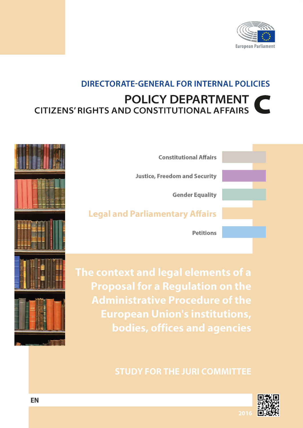

## **DIRECTORATE-GENERAL FOR INTERNAL POLICIES POLICY DEPARTMENT CITIZENS' RIGHTS AND CONSTITUTIONAL AFFAIRS**

| <b>Justice, Freedom and Security</b><br><b>Gender Equality</b><br><b>Legal and Parliamentary Affairs</b> | <b>Constitutional Affairs</b> |  |
|----------------------------------------------------------------------------------------------------------|-------------------------------|--|
|                                                                                                          |                               |  |
|                                                                                                          |                               |  |
|                                                                                                          |                               |  |
|                                                                                                          | <b>Petitions</b>              |  |

The context and legal elements of a **Proposal for a Regulation on the Administrative Procedure of the European Union's institutions,** bodies, offices and agencies

## **STUDY FOR THE JURI COMMITTEE**

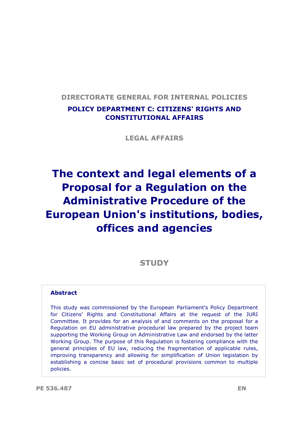## **DIRECTORATE GENERAL FOR INTERNAL POLICIES POLICY DEPARTMENT C: CITIZENS' RIGHTS AND CONSTITUTIONAL AFFAIRS**

**LEGAL AFFAIRS**

## **The context and legal elements of a Proposal for a Regulation on the Administrative Procedure of the European Union's institutions, bodies, offices and agencies**

## **STUDY**

#### **Abstract**

This study was commissioned by the European Parliament's Policy Department for Citizens' Rights and Constitutional Affairs at the request of the JURI Committee. It provides for an analysis of and comments on the proposal for a Regulation on EU administrative procedural law prepared by the project team supporting the Working Group on Administrative Law and endorsed by the latter Working Group. The purpose of this Regulation is fostering compliance with the general principles of EU law, reducing the fragmentation of applicable rules, improving transparency and allowing for simplification of Union legislation by establishing a concise basic set of procedural provisions common to multiple policies.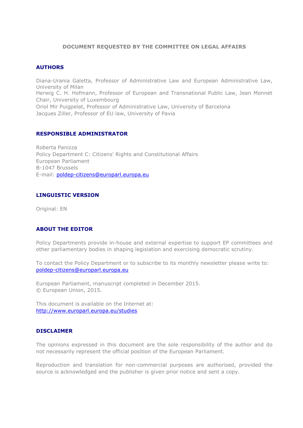#### **DOCUMENT REQUESTED BY THE COMMITTEE ON LEGAL AFFAIRS**

#### **AUTHORS**

Diana-Urania Galetta, Professor of Administrative Law and European Administrative Law, University of Milan Herwig C. H. Hofmann, Professor of European and Transnational Public Law, Jean Monnet

Chair, University of Luxembourg Oriol Mir Puigpelat, Professor of Administrative Law, University of Barcelona Jacques Ziller, Professor of EU law, University of Pavia

#### **RESPONSIBLE ADMINISTRATOR**

Roberta Panizza Policy Department C: Citizens' Rights and Constitutional Affairs European Parliament B-1047 Brussels E-mail: [poldep-citizens@europarl.europa.eu](mailto:poldep-citizens@europarl.europa.eu)

#### **LINGUISTIC VERSION**

Original: EN

#### **ABOUT THE EDITOR**

Policy Departments provide in-house and external expertise to support EP committees and other parliamentary bodies in shaping legislation and exercising democratic scrutiny.

To contact the Policy Department or to subscribe to its monthly newsletter please write to: [poldep-citizens@europarl.europa.eu](mailto:poldep-citizens@europarl.europa.eu)

European Parliament, manuscript completed in December 2015. © European Union, 2015.

This document is available on the Internet at: <http://www.europarl.europa.eu/studies>

#### **DISCLAIMER**

The opinions expressed in this document are the sole responsibility of the author and do not necessarily represent the official position of the European Parliament.

Reproduction and translation for non-commercial purposes are authorised, provided the source is acknowledged and the publisher is given prior notice and sent a copy.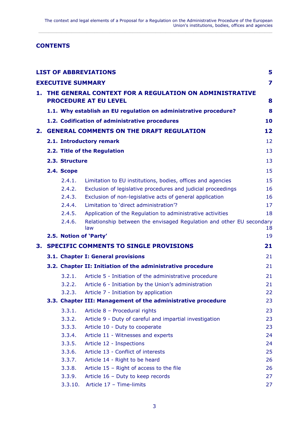#### **CONTENTS**

|    |                              |                          | <b>LIST OF ABBREVIATIONS</b>                                         | 5                       |
|----|------------------------------|--------------------------|----------------------------------------------------------------------|-------------------------|
|    |                              | <b>EXECUTIVE SUMMARY</b> |                                                                      | $\overline{\mathbf{z}}$ |
|    |                              |                          | 1. THE GENERAL CONTEXT FOR A REGULATION ON ADMINISTRATIVE            |                         |
|    | <b>PROCEDURE AT EU LEVEL</b> |                          |                                                                      |                         |
|    |                              |                          | 1.1. Why establish an EU regulation on administrative procedure?     | 8                       |
|    |                              |                          | 1.2. Codification of administrative procedures                       | 10                      |
| 2. |                              |                          | <b>GENERAL COMMENTS ON THE DRAFT REGULATION</b>                      | 12                      |
|    |                              |                          | 2.1. Introductory remark                                             | 12                      |
|    |                              |                          | 2.2. Title of the Regulation                                         | 13                      |
|    |                              | 2.3. Structure           |                                                                      | 13                      |
|    |                              | 2.4. Scope               |                                                                      | 15                      |
|    |                              | 2.4.1.                   | Limitation to EU institutions, bodies, offices and agencies          | 15                      |
|    |                              | 2.4.2.                   | Exclusion of legislative procedures and judicial proceedings         | 16                      |
|    |                              | 2.4.3.                   | Exclusion of non-legislative acts of general application             | 16                      |
|    |                              | 2.4.4.                   | Limitation to 'direct administration'?                               | 17                      |
|    |                              | 2.4.5.                   | Application of the Regulation to administrative activities           | 18                      |
|    |                              | 2.4.6.                   | Relationship between the envisaged Regulation and other EU secondary |                         |
|    |                              |                          | law<br>2.5. Notion of 'Party'                                        | 18<br>19                |
| 3. |                              |                          | <b>SPECIFIC COMMENTS TO SINGLE PROVISIONS</b>                        | 21                      |
|    |                              |                          | 3.1. Chapter I: General provisions                                   | 21                      |
|    |                              |                          |                                                                      |                         |
|    |                              |                          | 3.2. Chapter II: Initiation of the administrative procedure          | 21                      |
|    |                              | 3.2.1.                   | Article 5 - Initiation of the administrative procedure               | 21                      |
|    |                              | 3.2.2.                   | Article 6 - Initiation by the Union's administration                 | 21                      |
|    |                              | 3.2.3.                   | Article 7 - Initiation by application                                | 22                      |
|    |                              |                          | 3.3. Chapter III: Management of the administrative procedure         | 23                      |
|    |                              | 3.3.1.                   | Article 8 - Procedural rights                                        | 23                      |
|    |                              | 3.3.2.                   | Article 9 - Duty of careful and impartial investigation              | 23                      |
|    |                              | 3.3.3.                   | Article 10 - Duty to cooperate                                       | 23                      |
|    |                              | 3.3.4.                   | Article 11 - Witnesses and experts                                   | 24                      |
|    |                              | 3.3.5.                   | Article 12 - Inspections                                             | 24                      |
|    |                              | 3.3.6.                   | Article 13 - Conflict of interests                                   | 25                      |
|    |                              | 3.3.7.                   | Article 14 - Right to be heard                                       | 26                      |
|    |                              | 3.3.8.                   | Article 15 - Right of access to the file                             | 26                      |
|    |                              | 3.3.9.                   | Article 16 - Duty to keep records                                    | 27                      |
|    |                              | 3.3.10.                  | Article 17 - Time-limits                                             | 27                      |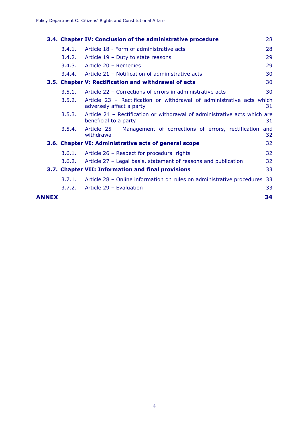|       |        | 3.4. Chapter IV: Conclusion of the administrative procedure                                        | 28        |
|-------|--------|----------------------------------------------------------------------------------------------------|-----------|
|       | 3.4.1. | Article 18 - Form of administrative acts                                                           | 28        |
|       | 3.4.2. | Article 19 - Duty to state reasons                                                                 | 29        |
|       | 3.4.3. | Article 20 - Remedies                                                                              | 29        |
|       | 3.4.4. | Article 21 - Notification of administrative acts                                                   | 30        |
|       |        | 3.5. Chapter V: Rectification and withdrawal of acts                                               | 30        |
|       | 3.5.1. | Article 22 - Corrections of errors in administrative acts                                          | 30        |
|       | 3.5.2. | Article 23 - Rectification or withdrawal of administrative acts which<br>adversely affect a party  | 31        |
|       | 3.5.3. | Article 24 - Rectification or withdrawal of administrative acts which are<br>beneficial to a party | 31        |
|       | 3.5.4. | Article 25 - Management of corrections of errors, rectification<br>withdrawal                      | and<br>32 |
|       |        | 3.6. Chapter VI: Administrative acts of general scope                                              | 32        |
|       | 3.6.1. | Article 26 - Respect for procedural rights                                                         | 32        |
|       | 3.6.2. | Article 27 - Legal basis, statement of reasons and publication                                     | 32        |
|       |        | 3.7. Chapter VII: Information and final provisions                                                 | 33        |
|       | 3.7.1. | Article 28 - Online information on rules on administrative procedures                              | 33        |
|       | 3.7.2. | Article 29 - Evaluation                                                                            | 33        |
| ANNEX |        |                                                                                                    | 34        |

**\_\_\_\_\_\_\_\_\_\_\_\_\_\_\_\_\_\_\_\_\_\_\_\_\_\_\_\_\_\_\_\_\_\_\_\_\_\_\_\_\_\_\_\_\_\_\_\_\_\_\_\_\_\_\_\_\_\_\_\_\_\_\_\_\_\_\_\_\_\_\_\_\_\_\_\_\_\_\_\_\_\_\_\_\_\_\_\_\_\_\_\_**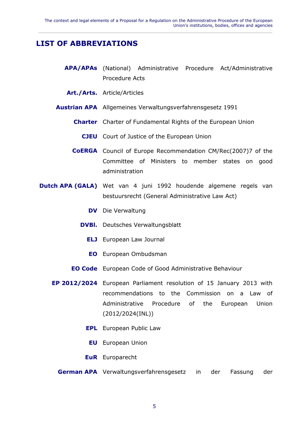## <span id="page-6-0"></span>**LIST OF ABBREVIATIONS**

- **APA/APAs** (National) Administrative Procedure Act/Administrative Procedure Acts
	- **Art./Arts.** Article/Articles
- **Austrian APA** Allgemeines Verwaltungsverfahrensgesetz 1991
	- **Charter** Charter of Fundamental Rights of the European Union
		- **CJEU** Court of Justice of the European Union
	- **CoERGA** Council of Europe Recommendation CM/Rec(2007)7 of the Committee of Ministers to member states on good administration
- **Dutch APA (GALA)** Wet van 4 juni 1992 houdende algemene regels van bestuursrecht (General Administrative Law Act)
	- **DV** Die Verwaltung
	- **DVBl.** Deutsches Verwaltungsblatt
		- **ELJ** European Law Journal
		- **EO** European Ombudsman
	- **EO Code** European Code of Good Administrative Behaviour
	- **EP 2012/2024** European Parliament resolution of 15 January 2013 with recommendations to the Commission on a Law of Administrative Procedure of the European Union (2012/2024(INL))
		- **EPL** European Public Law
			- **EU** European Union
		- **EuR** Europarecht
		- **German APA** Verwaltungsverfahrensgesetz in der Fassung der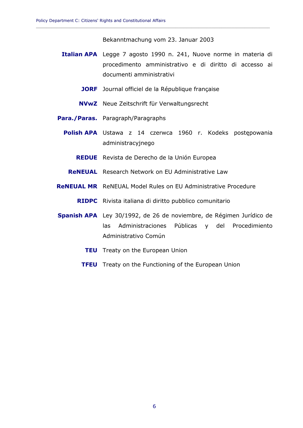Bekanntmachung vom 23. Januar 2003

**\_\_\_\_\_\_\_\_\_\_\_\_\_\_\_\_\_\_\_\_\_\_\_\_\_\_\_\_\_\_\_\_\_\_\_\_\_\_\_\_\_\_\_\_\_\_\_\_\_\_\_\_\_\_\_\_\_\_\_\_\_\_\_\_\_\_\_\_\_\_\_\_\_\_\_\_\_\_\_\_\_\_\_\_\_\_\_\_\_\_\_\_**

- **Italian APA** Legge 7 agosto 1990 n. 241, Nuove norme in materia di procedimento amministrativo e di diritto di accesso ai documenti amministrativi
	- **JORF** Journal officiel de la République française
	- **NVwZ** Neue Zeitschrift für Verwaltungsrecht
- **Para./Paras.** Paragraph/Paragraphs
	- **Polish APA** Ustawa z 14 czerwca 1960 r. Kodeks postępowania administracyjnego
		- **REDUE** Revista de Derecho de la Unión Europea
		- **ReNEUAL** Research Network on EU Administrative Law
- **ReNEUAL MR** ReNEUAL Model Rules on EU Administrative Procedure
	- **RIDPC** Rivista italiana di diritto pubblico comunitario
- **Spanish APA** Ley 30/1992, de 26 de noviembre, de Régimen Jurídico de las Administraciones Públicas y del Procedimiento Administrativo Común
	- **TEU** Treaty on the European Union
	- **TFEU** Treaty on the Functioning of the European Union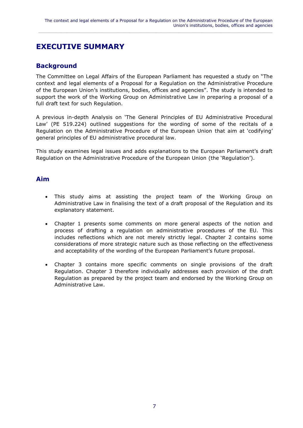## <span id="page-8-0"></span>**EXECUTIVE SUMMARY**

## **Background**

The Committee on Legal Affairs of the European Parliament has requested a study on "The context and legal elements of a Proposal for a Regulation on the Administrative Procedure of the European Union's institutions, bodies, offices and agencies". The study is intended to support the work of the Working Group on Administrative Law in preparing a proposal of a full draft text for such Regulation.

A previous in-depth Analysis on 'The General Principles of EU Administrative Procedural Law' (PE 519.224) outlined suggestions for the wording of some of the recitals of a Regulation on the Administrative Procedure of the European Union that aim at 'codifying' general principles of EU administrative procedural law.

This study examines legal issues and adds explanations to the European Parliament's draft Regulation on the Administrative Procedure of the European Union (the 'Regulation').

#### **Aim**

- This study aims at assisting the project team of the Working Group on Administrative Law in finalising the text of a draft proposal of the Regulation and its explanatory statement.
- Chapter 1 presents some comments on more general aspects of the notion and process of drafting a regulation on administrative procedures of the EU. This includes reflections which are not merely strictly legal. Chapter 2 contains some considerations of more strategic nature such as those reflecting on the effectiveness and acceptability of the wording of the European Parliament's future proposal.
- Chapter 3 contains more specific comments on single provisions of the draft Regulation. Chapter 3 therefore individually addresses each provision of the draft Regulation as prepared by the project team and endorsed by the Working Group on Administrative Law.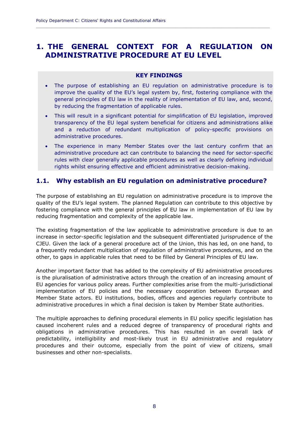## <span id="page-9-0"></span>**1. THE GENERAL CONTEXT FOR A REGULATION ON ADMINISTRATIVE PROCEDURE AT EU LEVEL**

**\_\_\_\_\_\_\_\_\_\_\_\_\_\_\_\_\_\_\_\_\_\_\_\_\_\_\_\_\_\_\_\_\_\_\_\_\_\_\_\_\_\_\_\_\_\_\_\_\_\_\_\_\_\_\_\_\_\_\_\_\_\_\_\_\_\_\_\_\_\_\_\_\_\_\_\_\_\_\_\_\_\_\_\_\_\_\_\_\_\_\_\_**

#### **KEY FINDINGS**

- The purpose of establishing an EU regulation on administrative procedure is to improve the quality of the EU's legal system by, first, fostering compliance with the general principles of EU law in the reality of implementation of EU law, and, second, by reducing the fragmentation of applicable rules.
- This will result in a significant potential for simplification of EU legislation, improved transparency of the EU legal system beneficial for citizens and administrations alike and a reduction of redundant multiplication of policy-specific provisions on administrative procedures.
- The experience in many Member States over the last century confirm that an administrative procedure act can contribute to balancing the need for sector-specific rules with clear generally applicable procedures as well as clearly defining individual rights whilst ensuring effective and efficient administrative decision-making.

## <span id="page-9-1"></span>**1.1. Why establish an EU regulation on administrative procedure?**

The purpose of establishing an EU regulation on administrative procedure is to improve the quality of the EU's legal system. The planned Regulation can contribute to this objective by fostering compliance with the general principles of EU law in implementation of EU law by reducing fragmentation and complexity of the applicable law.

The existing fragmentation of the law applicable to administrative procedure is due to an increase in sector-specific legislation and the subsequent differentiated jurisprudence of the CJEU. Given the lack of a general procedure act of the Union, this has led, on one hand, to a frequently redundant multiplication of regulation of administrative procedures, and on the other, to gaps in applicable rules that need to be filled by General Principles of EU law.

Another important factor that has added to the complexity of EU administrative procedures is the pluralisation of administrative actors through the creation of an increasing amount of EU agencies for various policy areas. Further complexities arise from the multi-jurisdictional implementation of EU policies and the necessary cooperation between European and Member State actors. EU institutions, bodies, offices and agencies regularly contribute to administrative procedures in which a final decision is taken by Member State authorities.

The multiple approaches to defining procedural elements in EU policy specific legislation has caused incoherent rules and a reduced degree of transparency of procedural rights and obligations in administrative procedures. This has resulted in an overall lack of predictability, intelligibility and most-likely trust in EU administrative and regulatory procedures and their outcome, especially from the point of view of citizens, small businesses and other non-specialists.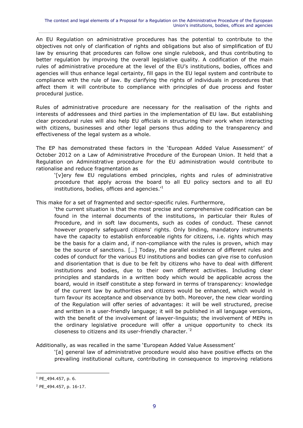An EU Regulation on administrative procedures has the potential to contribute to the objectives not only of clarification of rights and obligations but also of simplification of EU law by ensuring that procedures can follow one single rulebook, and thus contributing to better regulation by improving the overall legislative quality. A codification of the main rules of administrative procedure at the level of the EU's institutions, bodies, offices and agencies will thus enhance legal certainty, fill gaps in the EU legal system and contribute to compliance with the rule of law. By clarifying the rights of individuals in procedures that affect them it will contribute to compliance with principles of due process and foster procedural justice.

Rules of administrative procedure are necessary for the realisation of the rights and interests of addressees and third parties in the implementation of EU law. But establishing clear procedural rules will also help EU officials in structuring their work when interacting with citizens, businesses and other legal persons thus adding to the transparency and effectiveness of the legal system as a whole.

The EP has demonstrated these factors in the 'European Added Value Assessment' of October 2012 on a Law of Administrative Procedure of the European Union. It held that a Regulation on Administrative procedure for the EU administration would contribute to rationalise and reduce fragmentation as

'[v]ery few EU regulations embed principles, rights and rules of administrative procedure that apply across the board to all EU policy sectors and to all EU institutions, bodies, offices and agencies.<sup>1</sup>

This make for a set of fragmented and sector-specific rules. Furthermore,

'the current situation is that the most precise and comprehensive codification can be found in the internal documents of the institutions, in particular their Rules of Procedure, and in soft law documents, such as codes of conduct. These cannot however properly safeguard citizens' rights. Only binding, mandatory instruments have the capacity to establish enforceable rights for citizens, i.e. rights which may be the basis for a claim and, if non-compliance with the rules is proven, which may be the source of sanctions. […] Today, the parallel existence of different rules and codes of conduct for the various EU institutions and bodies can give rise to confusion and disorientation that is due to be felt by citizens who have to deal with different institutions and bodies, due to their own different activities. Including clear principles and standards in a written body which would be applicable across the board, would in itself constitute a step forward in terms of transparency: knowledge of the current law by authorities and citizens would be enhanced, which would in turn favour its acceptance and observance by both. Moreover, the new clear wording of the Regulation will offer series of advantages: it will be well structured, precise and written in a user-friendly language; it will be published in all language versions, with the benefit of the involvement of lawyer-linguists; the involvement of MEPs in the ordinary legislative procedure will offer a unique opportunity to check its closeness to citizens and its user-friendly character. <sup>2</sup>

Additionally, as was recalled in the same 'European Added Value Assessment'

'[a] general law of administrative procedure would also have positive effects on the prevailing institutional culture, contributing in consequence to improving relations

<sup>1</sup> PE\_494.457, p. 6.

<sup>2</sup> PE\_494.457, p. 16-17.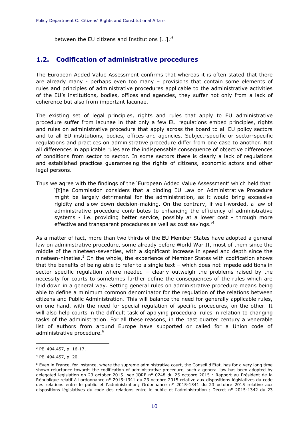between the EU citizens and Institutions  $[...]^{3}$ 

### <span id="page-11-0"></span>**1.2. Codification of administrative procedures**

The European Added Value Assessment confirms that whereas it is often stated that there are already many - perhaps even too many – provisions that contain some elements of rules and principles of administrative procedures applicable to the administrative activities of the EU's institutions, bodies, offices and agencies, they suffer not only from a lack of coherence but also from important lacunae.

**\_\_\_\_\_\_\_\_\_\_\_\_\_\_\_\_\_\_\_\_\_\_\_\_\_\_\_\_\_\_\_\_\_\_\_\_\_\_\_\_\_\_\_\_\_\_\_\_\_\_\_\_\_\_\_\_\_\_\_\_\_\_\_\_\_\_\_\_\_\_\_\_\_\_\_\_\_\_\_\_\_\_\_\_\_\_\_\_\_\_\_\_**

The existing set of legal principles, rights and rules that apply to EU administrative procedure suffer from lacunae in that only a few EU regulations embed principles, rights and rules on administrative procedure that apply across the board to all EU policy sectors and to all EU institutions, bodies, offices and agencies. Subject-specific or sector-specific regulations and practices on administrative procedure differ from one case to another. Not all differences in applicable rules are the indispensable consequence of objective differences of conditions from sector to sector. In some sectors there is clearly a lack of regulations and established practices guaranteeing the rights of citizens, economic actors and other legal persons.

Thus we agree with the findings of the 'European Added Value Assessment' which held that '[t]he Commission considers that a binding EU Law on Administrative Procedure might be largely detrimental for the administration, as it would bring excessive rigidity and slow down decision-making. On the contrary, if well-worded, a law of administrative procedure contributes to enhancing the efficiency of administrative systems - i.e. providing better service, possibly at a lower cost - through more effective and transparent procedures as well as cost savings.<sup>4</sup>

As a matter of fact, more than two thirds of the EU Member States have adopted a general law on administrative procedure, some already before World War II, most of them since the middle of the nineteen-seventies, with a significant increase in speed and depth since the nineteen-nineties.<sup>5</sup> On the whole, the experience of Member States with codification shows that the benefits of being able to refer to a single text – which does not impede additions in sector specific regulation where needed – clearly outweigh the problems raised by the necessity for courts to sometimes further define the consequences of the rules which are laid down in a general way. Setting general rules on administrative procedure means being able to define a minimum common denominator for the regulation of the relations between citizens and Public Administration. This will balance the need for generally applicable rules, on one hand, with the need for special regulation of specific procedures, on the other. It will also help courts in the difficult task of applying procedural rules in relation to changing tasks of the administration. For all these reasons, in the past quarter century a venerable list of authors from around Europe have supported or called for a Union code of administrative procedure. 6

 $3$  PE 494.457, p. 16-17.

<sup>4</sup> PE\_494.457, p. 20.

 $5$  Even in France, for instance, where the supreme administrative court, the Conseil d'Etat, has for a very long time shown reluctance towards the codification of administrative procedure, such a general law has been adopted by delegated legislation on 23 october 2015: see JORF n° 0248 du 25 octobre 2015 : Rapport au Président de la République relatif à l'ordonnance n° 2015-1341 du 23 octobre 2015 relative aux dispositions législatives du code des relations entre le public et l'administration; Ordonnance n° 2015-1341 du 23 octobre 2015 relative aux dispositions législatives du code des relations entre le public et l'administration ; Décret n° 2015-1342 du 23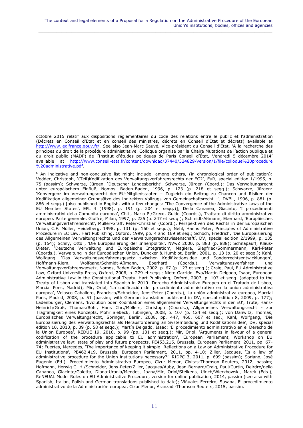octobre 2015 relatif aux dispositions réglementaires du code des relations entre le public et l'administration (Décrets en Conseil d'Etat et en conseil des ministres, décrets en Conseil d'Etat et décrets) available at [http://www.legifrance.gouv.fr/.](http://www.legifrance.gouv.fr/) See also Jean-Marc Sauvé, Vice-président du Conseil d'État, 'A la recherche des principes du droit de la procédure administrative. Colloque organisé par la Chaire Mutations de l'action publique et du droit public (MADP) de l'Institut d'études politiques de Paris Conseil d'État, Vendredi 5 décembre 2014' available at [http://www.conseil-etat.fr/content/download/37440/324829/version/1/file/colloque%20procedure](http://www.conseil-etat.fr/content/download/37440/324829/version/1/file/colloque%20procedure%20%20administrative.pdf)  [%20administrative.pdf.](http://www.conseil-etat.fr/content/download/37440/324829/version/1/file/colloque%20procedure%20%20administrative.pdf)

 $\overline{a}$ 

<sup>6</sup> An indicative and non-conclusive list might include, among others, (in chronological order of publication): Vedder, Christoph, '(Teil)Kodifikation des Verwaltungsverfahrensrechts der EG?', EuR, special edition 1/1995, p. 75 (passim); Schwarze, Jürgen, 'Deutscher Landesbericht', Schwarze, Jürgen (Coord.): Das Verwaltungsrecht unter europäischem Einfluß, Nomos, Baden-Baden, 1996, p. 123 (p. 218 et seqq.); Schwarze, Jürgen: 'Konvergenz im Verwaltungsrecht der EU-Mitgliedstaaten – Zugleich ein Beitrag zu Chancen und Risiken der Kodifikation allgemeiner Grundsätze des indirekten Vollzugs von Gemeinschaftsrecht –', DVBl., 1996, p. 881 (p. 886 et seqq.) [also published in English, with a few changes: 'The Convergence of the Administrative Laws of the EU Member States', EPL 4 (1998), p. 191 (p. 204 et seqq.)]; Della Cananea, Giacinto, 'I procedimenti amministrativi della Comunità europea', Chiti, Mario P./Greco, Guido (Coords.), Trattato di diritto amministrativo europeo. Parte generale, Giuffrè, Milan, 1997, p. 225 (p. 247 et seqq.); Schmidt-Aßmann, Eberhard, 'Europäisches Verwaltungsverfahrensrecht', Müller-Graff, Peter-Christian (Coord.), Perspektiven des Rechts in der Europäischen Union, C.F. Müller, Heidelberg, 1998, p. 131 (p. 160 et seqq.); Nehl, Hanns Peter, Principles of Administrative Procedure in EC Law, Hart Publishing, Oxford, 1999, pp. 4 and 169 et seq.; Schoch, Friedrich, 'Die Europäisierung des Allgemeinen Verwaltungsrechts und der Verwaltungsrechtswissenschaft', DV, special edition 2/1999, p. 135 (p. 154); Schily, Otto , 'Die Europäisierung der Innenpolitik', NVwZ 2000, p. 883 (p. 888); Schnapauff, Klaus-Dieter, 'Deutsche Verwaltung und Europäische Integration', Magiera, Siegfried/Sommermann, Karl-Peter (Coords.), Verwaltung in der Europäischen Union, Duncker & Humblot, Berlin, 2001, p. 13 (p. 20 et seqq.); Kahl, Wolfgang, 'Das Verwaltungsverfahrensgesetz zwischen Kodifikationsidee und Sonderrechtsentwicklungen', Hoffmann-Riem, Wolfgang/Schmidt-Aßmann, Eberhard (Coords.), Verwaltungsverfahren und Verwaltungsverfahrensgesetz, Nomos, Baden-Baden, 2002, p. 67 (p. 123 et seqq.); Craig, Paul, EU Administrative Law, Oxford University Press, Oxford, 2006, p. 279 et seqq.; Nieto Garrido, Eva/Martín Delgado, Isaac, European Administrative Law in the Constitutional Treaty, Hart Publishing, Oxford, 2007, p. 107 et seqq. (adapted to the Treaty of Lisbon and translated into Spanish in 2010: Derecho Administrativo Europeo en el Tratado de Lisboa, Marcial Pons, Madrid); Mir, Oriol, 'La codificación del procedimiento administrativo en la unión administrativa europea', Velasco Caballero, Francisco/Schneider, Jens-Peter (Coords.), La unión administrativa europea, Marcial Pons, Madrid, 2008, p. 51 (passim; with German translation published in DV, special edition 8, 2009, p. 177); Ladenburger, Clemens, 'Evolution oder Kodifikation eines allgemeinen Verwaltungsrechts in der EU', Trute, Hans-Heinrich/Groß, Thomas/Röhl, Hans Chr./Möllers, Christoph (Coords.), Allgemeines Verwaltungsrecht - zur Tragfähigkeit eines Konzepts, Mohr Siebeck, Tübingen, 2008, p. 107 (p. 124 et seqq.); von Danwitz, Thomas, Europäisches Verwaltungsrecht, Springer, Berlin, 2008, pp. 447, 466, 607 et seq.; Kahl, Wolfgang, 'Die Europäisierung des Verwaltungsrechts als Herausforderung an Systembildung und Kodifikationsidee', DV, special edition 10, 2010, p. 39 (p. 58 et seqq.); Martín Delgado, Isaac: 'El procedimiento administrativo en el Derecho de la Unión Europea', REDUE 19, 2010, p. 99 (pp. 131 et seqq.); Mir, Oriol, 'Arguments in favour of a general codification of the procedure applicable to EU administration', European Parliament, Workshop on EU administrative law: state of play and future prospects, PE453.215, Brussels, European Parliament, 2011, pp. 67- 74; Fuertes, Mercedes, 'The importance of keeping it simple: Reflections on a Law on Administrative Procedure for EU Institutions', PE462.419, Brussels, European Parliament, 2011, pp. 4-10; Ziller, Jacques, 'Is a law of administrative procedure for the Union institutions necessary?', RIDPC 3, 2011, p. 699 (passim); Soriano, José Eugenio (Ed.), Procedimiento Administrativo Europeo, Cizur Menor, Civitas-Thomson Reuters, 2012, passim; Hofmann, Herwig C. H./Schneider, Jens-Peter/Ziller, Jacques/Auby, Jean-Bernard/Craig, Paul/Curtin, Deirdre/della Cananea, Giacinto/Galetta, Diana-Urania/Mendes, Joana/Mir, Oriol/Stelkens, Ulrich/Wierzbowski, Marek (Eds.), ReNEUAL Model Rules on EU Administrative Procedure, version for online publication, 2014, passim (see also with Spanish, Italian, Polish and German translations published to date); Viñuales Ferreiro, Susana, El procedimiento administrativo de la Administración europea, Cizur Menor, Aranzadi-Thomson Reuters, 2015, passim.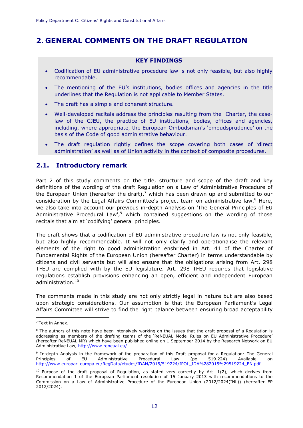## <span id="page-13-0"></span>**2. GENERAL COMMENTS ON THE DRAFT REGULATION**

**\_\_\_\_\_\_\_\_\_\_\_\_\_\_\_\_\_\_\_\_\_\_\_\_\_\_\_\_\_\_\_\_\_\_\_\_\_\_\_\_\_\_\_\_\_\_\_\_\_\_\_\_\_\_\_\_\_\_\_\_\_\_\_\_\_\_\_\_\_\_\_\_\_\_\_\_\_\_\_\_\_\_\_\_\_\_\_\_\_\_\_\_**

#### **KEY FINDINGS**

- Codification of EU administrative procedure law is not only feasible, but also highly recommendable.
- The mentioning of the EU's institutions, bodies offices and agencies in the title underlines that the Regulation is not applicable to Member States.
- The draft has a simple and coherent structure.
- Well-developed recitals address the principles resulting from the Charter, the caselaw of the CJEU, the practice of EU institutions, bodies, offices and agencies, including, where appropriate, the European Ombudsman's 'ombudsprudence' on the basis of the Code of good administrative behaviour.
- The draft regulation rightly defines the scope covering both cases of 'direct administration' as well as of Union activity in the context of composite procedures.

#### <span id="page-13-1"></span>**2.1. Introductory remark**

Part 2 of this study comments on the title, structure and scope of the draft and key definitions of the wording of the draft Regulation on a Law of Administrative Procedure of the European Union (hereafter the draft),<sup>7</sup> which has been drawn up and submitted to our consideration by the Legal Affairs Committee's project team on administrative law. $8$  Here, we also take into account our previous in-depth Analysis on 'The General Principles of EU Administrative Procedural Law', $9$  which contained suggestions on the wording of those recitals that aim at 'codifying' general principles.

The draft shows that a codification of EU administrative procedure law is not only feasible, but also highly recommendable. It will not only clarify and operationalise the relevant elements of the right to good administration enshrined in Art. 41 of the Charter of Fundamental Rights of the European Union (hereafter Charter) in terms understandable by citizens and civil servants but will also ensure that the obligations arising from Art. 298 TFEU are complied with by the EU legislature. Art. 298 TFEU requires that legislative regulations establish provisions enhancing an open, efficient and independent European administration. 10

The comments made in this study are not only strictly legal in nature but are also based upon strategic considerations. Our assumption is that the European Parliament's Legal Affairs Committee will strive to find the right balance between ensuring broad acceptability

<sup>7</sup> Text in Annex.

<sup>&</sup>lt;sup>8</sup> The authors of this note have been intensively working on the issues that the draft proposal of a Regulation is addressing as members of the drafting teams of the 'ReNEUAL Model Rules on EU Administrative Procedure' (hereafter ReNEUAL MR) which have been published online on 1 September 2014 by the Research Network on EU Administrative Law, [http://www.reneual.eu/.](http://www.reneual.eu/)

<sup>9</sup> In-depth Analysis in the framework of the preparation of this Draft proposal for a Regulation: The General Principles of EU Administrative Procedural Law (pe 519.224) Available on [http://www.europarl.europa.eu/RegData/etudes/IDAN/2015/519224/IPOL\\_IDA%282015%29519224\\_EN.pdf](http://www.europarl.europa.eu/RegData/etudes/IDAN/2015/519224/IPOL_IDA%282015%29519224_EN.pdf)

<sup>&</sup>lt;sup>10</sup> Purpose of the draft proposal of Regulation, as stated very correctly by Art. 1(2), which derives from Recommendation 1 of the European Parliament resolution of 15 January 2013 with recommendations to the Commission on a Law of Administrative Procedure of the European Union (2012/2024(INL)) (hereafter EP 2012/2024).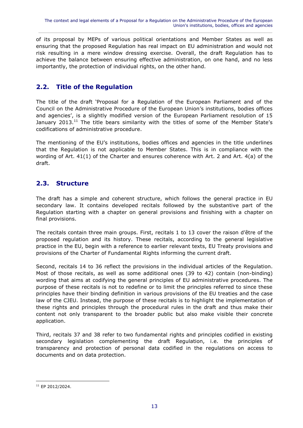of its proposal by MEPs of various political orientations and Member States as well as ensuring that the proposed Regulation has real impact on EU administration and would not risk resulting in a mere window dressing exercise. Overall, the draft Regulation has to achieve the balance between ensuring effective administration, on one hand, and no less importantly, the protection of individual rights, on the other hand.

 $\_$  ,  $\_$  ,  $\_$  ,  $\_$  ,  $\_$  ,  $\_$  ,  $\_$  ,  $\_$  ,  $\_$  ,  $\_$  ,  $\_$  ,  $\_$  ,  $\_$  ,  $\_$  ,  $\_$  ,  $\_$  ,  $\_$  ,  $\_$  ,  $\_$  ,  $\_$  ,  $\_$  ,  $\_$  ,  $\_$  ,  $\_$  ,  $\_$  ,  $\_$  ,  $\_$  ,  $\_$  ,  $\_$  ,  $\_$  ,  $\_$  ,  $\_$  ,  $\_$  ,  $\_$  ,  $\_$  ,  $\_$  ,  $\_$  ,

## <span id="page-14-0"></span>**2.2. Title of the Regulation**

The title of the draft 'Proposal for a Regulation of the European Parliament and of the Council on the Administrative Procedure of the European Union's institutions, bodies offices and agencies', is a slightly modified version of the European Parliament resolution of 15 January 2013.<sup>11</sup> The title bears similarity with the titles of some of the Member State's codifications of administrative procedure.

The mentioning of the EU's institutions, bodies offices and agencies in the title underlines that the Regulation is not applicable to Member States. This is in compliance with the wording of Art. 41(1) of the Charter and ensures coherence with Art. 2 and Art. 4(a) of the draft.

## <span id="page-14-1"></span>**2.3. Structure**

The draft has a simple and coherent structure, which follows the general practice in EU secondary law. It contains developed recitals followed by the substantive part of the Regulation starting with a chapter on general provisions and finishing with a chapter on final provisions.

The recitals contain three main groups. First, recitals 1 to 13 cover the raison d'être of the proposed regulation and its history. These recitals, according to the general legislative practice in the EU, begin with a reference to earlier relevant texts, EU Treaty provisions and provisions of the Charter of Fundamental Rights informing the current draft.

Second, recitals 14 to 36 reflect the provisions in the individual articles of the Regulation. Most of those recitals, as well as some additional ones (39 to 42) contain (non-binding) wording that aims at codifying the general principles of EU administrative procedures. The purpose of these recitals is not to redefine or to limit the principles referred to since these principles have their binding definition in various provisions of the EU treaties and the case law of the CJEU. Instead, the purpose of these recitals is to highlight the implementation of these rights and principles through the procedural rules in the draft and thus make their content not only transparent to the broader public but also make visible their concrete application.

Third, recitals 37 and 38 refer to two fundamental rights and principles codified in existing secondary legislation complementing the draft Regulation, i.e. the principles of transparency and protection of personal data codified in the regulations on access to documents and on data protection.

 $\overline{a}$ <sup>11</sup> EP 2012/2024.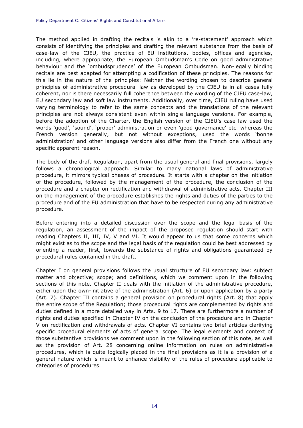The method applied in drafting the recitals is akin to a 're-statement' approach which consists of identifying the principles and drafting the relevant substance from the basis of case-law of the CJEU, the practice of EU institutions, bodies, offices and agencies, including, where appropriate, the European Ombudsman's Code on good administrative behaviour and the 'ombudsprudence' of the European Ombudsman. Non-legally binding recitals are best adapted for attempting a codification of these principles. The reasons for this lie in the nature of the principles: Neither the wording chosen to describe general principles of administrative procedural law as developed by the CJEU is in all cases fully coherent, nor is there necessarily full coherence between the wording of the CJEU case-law, EU secondary law and soft law instruments. Additionally, over time, CJEU ruling have used varying terminology to refer to the same concepts and the translations of the relevant principles are not always consistent even within single language versions. For example, before the adoption of the Charter, the English version of the CJEU's case law used the words 'good', 'sound', 'proper' administration or even 'good governance' etc. whereas the French version generally, but not without exceptions, used the words 'bonne administration' and other language versions also differ from the French one without any specific apparent reason.

**\_\_\_\_\_\_\_\_\_\_\_\_\_\_\_\_\_\_\_\_\_\_\_\_\_\_\_\_\_\_\_\_\_\_\_\_\_\_\_\_\_\_\_\_\_\_\_\_\_\_\_\_\_\_\_\_\_\_\_\_\_\_\_\_\_\_\_\_\_\_\_\_\_\_\_\_\_\_\_\_\_\_\_\_\_\_\_\_\_\_\_\_**

The body of the draft Regulation, apart from the usual general and final provisions, largely follows a chronological approach. Similar to many national laws of administrative procedure, it mirrors typical phases of procedure. It starts with a chapter on the initiation of the procedure, followed by the management of the procedure, the conclusion of the procedure and a chapter on rectification and withdrawal of administrative acts. Chapter III on the management of the procedure establishes the rights and duties of the parties to the procedure and of the EU administration that have to be respected during any administrative procedure.

Before entering into a detailed discussion over the scope and the legal basis of the regulation, an assessment of the impact of the proposed regulation should start with reading Chapters II, III, IV, V and VI. It would appear to us that some concerns which might exist as to the scope and the legal basis of the regulation could be best addressed by orienting a reader, first, towards the substance of rights and obligations guaranteed by procedural rules contained in the draft.

Chapter I on general provisions follows the usual structure of EU secondary law: subject matter and objective; scope; and definitions, which we comment upon in the following sections of this note. Chapter II deals with the initiation of the administrative procedure, either upon the own-initiative of the administration (Art. 6) or upon application by a party (Art. 7). Chapter III contains a general provision on procedural rights (Art. 8) that apply the entire scope of the Regulation; those procedural rights are complemented by rights and duties defined in a more detailed way in Arts. 9 to 17. There are furthermore a number of rights and duties specified in Chapter IV on the conclusion of the procedure and in Chapter V on rectification and withdrawals of acts. Chapter VI contains two brief articles clarifying specific procedural elements of acts of general scope. The legal elements and context of those substantive provisions we comment upon in the following section of this note, as well as the provision of Art. 28 concerning online information on rules on administrative procedures, which is quite logically placed in the final provisions as it is a provision of a general nature which is meant to enhance visibility of the rules of procedure applicable to categories of procedures.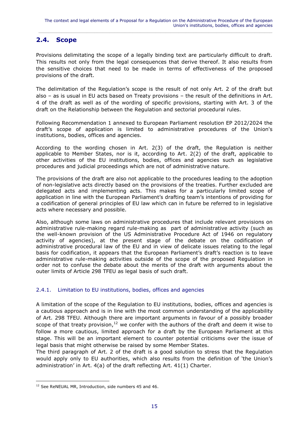### <span id="page-16-0"></span>**2.4. Scope**

Provisions delimitating the scope of a legally binding text are particularly difficult to draft. This results not only from the legal consequences that derive thereof. It also results from the sensitive choices that need to be made in terms of effectiveness of the proposed provisions of the draft.

The delimitation of the Regulation's scope is the result of not only Art. 2 of the draft but also – as is usual in EU acts based on Treaty provisions – the result of the definitions in Art. 4 of the draft as well as of the wording of specific provisions, starting with Art. 3 of the draft on the Relationship between the Regulation and sectorial procedural rules.

Following Recommendation 1 annexed to European Parliament resolution EP 2012/2024 the draft's scope of application is limited to administrative procedures of the Union's institutions, bodies, offices and agencies.

According to the wording chosen in Art. 2(3) of the draft, the Regulation is neither applicable to Member States, nor is it, according to Art. 2(2) of the draft, applicable to other activities of the EU institutions, bodies, offices and agencies such as legislative procedures and judicial proceedings which are not of administrative nature.

The provisions of the draft are also not applicable to the procedures leading to the adoption of non-legislative acts directly based on the provisions of the treaties. Further excluded are delegated acts and implementing acts. This makes for a particularly limited scope of application in line with the European Parliament's drafting team's intentions of providing for a codification of general principles of EU law which can in future be referred to in legislative acts where necessary and possible.

Also, although some laws on administrative procedures that include relevant provisions on administrative rule-making regard rule-making as part of administrative activity (such as the well-known provision of the US Administrative Procedure Act of 1946 on regulatory activity of agencies), at the present stage of the debate on the codification of administrative procedural law of the EU and in view of delicate issues relating to the legal basis for codification, it appears that the European Parliament's draft's reaction is to leave administrative rule-making activities outside of the scope of the proposed Regulation in order not to confuse the debate about the merits of the draft with arguments about the outer limits of Article 298 TFEU as legal basis of such draft.

#### <span id="page-16-1"></span>2.4.1. Limitation to EU institutions, bodies, offices and agencies

A limitation of the scope of the Regulation to EU institutions, bodies, offices and agencies is a cautious approach and is in line with the most common understanding of the applicability of Art. 298 TFEU. Although there are important arguments in favour of a possibly broader scope of that treaty provision,  $12$  we confer with the authors of the draft and deem it wise to follow a more cautious, limited approach for a draft by the European Parliament at this stage. This will be an important element to counter potential criticisms over the issue of legal basis that might otherwise be raised by some Member States.

The third paragraph of Art. 2 of the draft is a good solution to stress that the Regulation would apply only to EU authorities, which also results from the definition of 'the Union's administration' in Art. 4(a) of the draft reflecting Art. 41(1) Charter.

<sup>&</sup>lt;sup>12</sup> See ReNEUAL MR, Introduction, side numbers 45 and 46.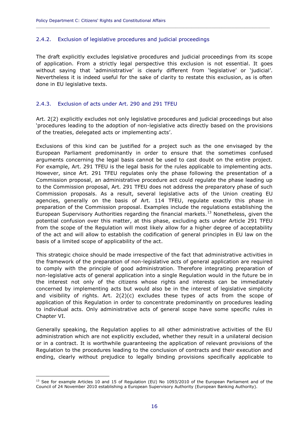#### <span id="page-17-0"></span>2.4.2. Exclusion of legislative procedures and judicial proceedings

The draft explicitly excludes legislative procedures and judicial proceedings from its scope of application. From a strictly legal perspective this exclusion is not essential. It goes without saying that 'administrative' is clearly different from 'legislative' or 'judicial'. Nevertheless it is indeed useful for the sake of clarity to restate this exclusion, as is often done in EU legislative texts.

**\_\_\_\_\_\_\_\_\_\_\_\_\_\_\_\_\_\_\_\_\_\_\_\_\_\_\_\_\_\_\_\_\_\_\_\_\_\_\_\_\_\_\_\_\_\_\_\_\_\_\_\_\_\_\_\_\_\_\_\_\_\_\_\_\_\_\_\_\_\_\_\_\_\_\_\_\_\_\_\_\_\_\_\_\_\_\_\_\_\_\_\_**

#### <span id="page-17-1"></span>2.4.3. Exclusion of acts under Art. 290 and 291 TFEU

Art. 2(2) explicitly excludes not only legislative procedures and judicial proceedings but also 'procedures leading to the adoption of non-legislative acts directly based on the provisions of the treaties, delegated acts or implementing acts'.

Exclusions of this kind can be justified for a project such as the one envisaged by the European Parliament predominantly in order to ensure that the sometimes confused arguments concerning the legal basis cannot be used to cast doubt on the entire project. For example, Art. 291 TFEU is the legal basis for the rules applicable to implementing acts. However, since Art. 291 TFEU regulates only the phase following the presentation of a Commission proposal, an administrative procedure act could regulate the phase leading up to the Commission proposal, Art. 291 TFEU does not address the preparatory phase of such Commission proposals. As a result, several legislative acts of the Union creating EU agencies, generally on the basis of Art. 114 TFEU, regulate exactly this phase in preparation of the Commission proposal. Examples include the regulations establishing the European Supervisory Authorities regarding the financial markets.<sup>13</sup> Nonetheless, given the potential confusion over this matter, at this phase, excluding acts under Article 291 TFEU from the scope of the Regulation will most likely allow for a higher degree of acceptability of the act and will allow to establish the codification of general principles in EU law on the basis of a limited scope of applicability of the act.

This strategic choice should be made irrespective of the fact that administrative activities in the framework of the preparation of non-legislative acts of general application are required to comply with the principle of good administration. Therefore integrating preparation of non-legislative acts of general application into a single Regulation would in the future be in the interest not only of the citizens whose rights and interests can be immediately concerned by implementing acts but would also be in the interest of legislative simplicity and visibility of rights. Art. 2(2)(c) excludes these types of acts from the scope of application of this Regulation in order to concentrate predominantly on procedures leading to individual acts. Only administrative acts of general scope have some specific rules in Chapter VI.

Generally speaking, the Regulation applies to all other administrative activities of the EU administration which are not explicitly excluded, whether they result in a unilateral decision or in a contract. It is worthwhile guaranteeing the application of relevant provisions of the Regulation to the procedures leading to the conclusion of contracts and their execution and ending, clearly without prejudice to legally binding provisions specifically applicable to

<sup>&</sup>lt;sup>13</sup> See for example Articles 10 and 15 of Regulation (EU) No 1093/2010 of the European Parliament and of the Council of 24 November 2010 establishing a European Supervisory Authority (European Banking Authority).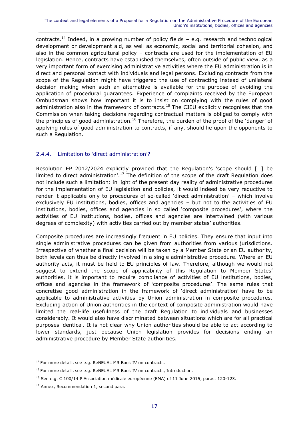contracts.<sup>14</sup> Indeed, in a growing number of policy fields  $-$  e.g. research and technological development or development aid, as well as economic, social and territorial cohesion, and also in the common agricultural policy – contracts are used for the implementation of EU legislation. Hence, contracts have established themselves, often outside of public view, as a very important form of exercising administrative activities where the EU administration is in direct and personal contact with individuals and legal persons. Excluding contracts from the scope of the Regulation might have triggered the use of contracting instead of unilateral decision making when such an alternative is available for the purpose of avoiding the application of procedural guarantees. Experience of complaints received by the European Ombudsman shows how important it is to insist on complying with the rules of good administration also in the framework of contracts.<sup>15</sup> The CJEU explicitly recognises that the Commission when taking decisions regarding contractual matters is obliged to comply with the principles of good administration.<sup>16</sup> Therefore, the burden of the proof of the 'danger' of applying rules of good administration to contracts, if any, should lie upon the opponents to such a Regulation.

#### <span id="page-18-0"></span>2.4.4. Limitation to 'direct administration'?

Resolution EP 2012/2024 explicitly provided that the Regulation's 'scope should […] be limited to direct administration'.<sup>17</sup> The definition of the scope of the draft Regulation does not include such a limitation: in light of the present day reality of administrative procedures for the implementation of EU legislation and policies, it would indeed be very reductive to render it applicable only to procedures of so-called 'direct administration' – which involve exclusively EU institutions, bodies, offices and agencies – but not to the activities of EU institutions, bodies, offices and agencies in so called 'composite procedures', where the activities of EU institutions, bodies, offices and agencies are intertwined (with various degrees of complexity) with activities carried out by member states' authorities.

Composite procedures are increasingly frequent in EU policies. They ensure that input into single administrative procedures can be given from authorities from various jurisdictions. Irrespective of whether a final decision will be taken by a Member State or an EU authority, both levels can thus be directly involved in a single administrative procedure. Where an EU authority acts, it must be held to EU principles of law. Therefore, although we would not suggest to extend the scope of applicability of this Regulation to Member States' authorities, it is important to require compliance of activities of EU institutions, bodies, offices and agencies in the framework of 'composite procedures'. The same rules that concretise good administration in the framework of 'direct administration' have to be applicable to administrative activities by Union administration in composite procedures. Excluding action of Union authorities in the context of composite administration would have limited the real-life usefulness of the draft Regulation to individuals and businesses considerably. It would also have discriminated between situations which are for all practical purposes identical. It is not clear why Union authorities should be able to act according to lower standards, just because Union legislation provides for decisions ending an administrative procedure by Member State authorities.

<sup>&</sup>lt;sup>14</sup> For more details see e.g. ReNEUAL MR Book IV on contracts.

<sup>&</sup>lt;sup>15</sup> For more details see e.g. ReNEUAL MR Book IV on contracts, Introduction.

<sup>&</sup>lt;sup>16</sup> See e.g. C 100/14 P Association médicale européenne (EMA) of 11 June 2015, paras. 120-123.

<sup>&</sup>lt;sup>17</sup> Annex, Recommendation 1, second para.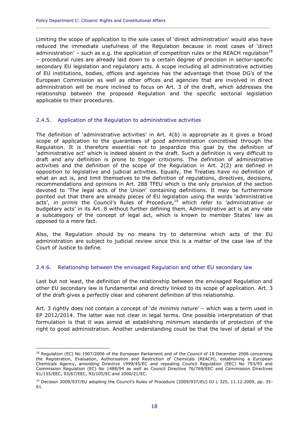Limiting the scope of application to the sole cases of 'direct administration' would also have reduced the immediate usefulness of the Regulation because in most cases of 'direct administration' – such as e.g. the application of competition rules or the REACH regulation<sup>18</sup> – procedural rules are already laid down to a certain degree of precision in sector-specific secondary EU legislation and regulatory acts. A scope including all administrative activities of EU institutions, bodies, offices and agencies has the advantage that those DG's of the European Commission as well as other offices and agencies that are involved in direct administration will be more inclined to focus on Art. 3 of the draft, which addresses the relationship between the proposed Regulation and the specific sectorial legislation applicable to their procedures.

**\_\_\_\_\_\_\_\_\_\_\_\_\_\_\_\_\_\_\_\_\_\_\_\_\_\_\_\_\_\_\_\_\_\_\_\_\_\_\_\_\_\_\_\_\_\_\_\_\_\_\_\_\_\_\_\_\_\_\_\_\_\_\_\_\_\_\_\_\_\_\_\_\_\_\_\_\_\_\_\_\_\_\_\_\_\_\_\_\_\_\_\_**

#### <span id="page-19-0"></span>2.4.5. Application of the Regulation to administrative activities

The definition of 'administrative activities' in Art. 4(b) is appropriate as it gives a broad scope of application to the guarantees of good administration concretised through the Regulation. It is therefore essential not to jeopardize this goal by the definition of 'administrative act' which is indeed absent in the draft. Such a definition is very difficult to draft and any definition is prone to trigger criticisms. The definition of administrative activities and the definition of the scope of the Regulation in Art. 2(2) are defined in opposition to legislative and judicial activities. Equally, the Treaties have no definition of what an act is, and limit themselves to the definition of regulations, directives, decisions, recommendations and opinions in Art. 288 TFEU which is the only provision of the section devoted to 'The legal acts of the Union' containing definitions. It may be furthermore pointed out that there are already pieces of EU legislation using the words 'administrative acts', *in primis* the Council's Rules of Procedure,<sup>19</sup> which refer to 'administrative or budgetary acts' in its Art. 8 without further defining them. Administrative act is at any rate a subcategory of the concept of legal act, which is known to member States' law as opposed to a mere fact.

Also, the Regulation should by no means try to determine which acts of the EU administration are subject to judicial review since this is a matter of the case law of the Court of Justice to define.

#### <span id="page-19-1"></span>2.4.6. Relationship between the envisaged Regulation and other EU secondary law

Last but not least, the definition of the relationship between the envisaged Regulation and other EU secondary law is fundamental and directly linked to its scope of application. Art. 3 of the draft gives a perfectly clear and coherent definition of this relationship.

Art. 3 rightly does not contain a concept of '*de minimis* nature' – which was a term used in EP 2012/2014. The latter was not clear in legal terms. One possible interpretation of that formulation is that it was aimed at establishing minimum standards of protection of the right to good administration. Another understanding could be that the level of detail of the

<sup>&</sup>lt;sup>18</sup> Regulation (EC) No 1907/2006 of the European Parliament and of the Council of 18 December 2006 concerning the Registration, Evaluation, Authorisation and Restriction of Chemicals (REACH), establishing a European Chemicals Agency, amending Directive 1999/45/EC and repealing Council Regulation (EEC) No 793/93 and Commission Regulation (EC) No 1488/94 as well as Council Directive 76/769/EEC and Commission Directives 91/155/EEC, 93/67/EEC, 93/105/EC and 2000/21/EC.

<sup>&</sup>lt;sup>19</sup> Decision 2009/937/EU adopting the Council's Rules of Procedure (2009/937/EU) OJ L 325, 11.12.2009, pp. 35-61.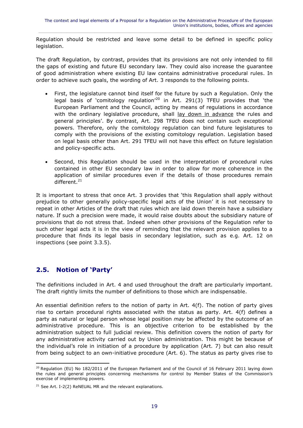Regulation should be restricted and leave some detail to be defined in specific policy legislation.

The draft Regulation, by contrast, provides that its provisions are not only intended to fill the gaps of existing and future EU secondary law. They could also increase the guarantee of good administration where existing EU law contains administrative procedural rules. In order to achieve such goals, the wording of Art. 3 responds to the following points.

- First, the legislature cannot bind itself for the future by such a Regulation. Only the legal basis of 'comitology regulation'<sup>20</sup> in Art. 291(3) TFEU provides that 'the European Parliament and the Council, acting by means of regulations in accordance with the ordinary legislative procedure, shall lay down in advance the rules and general principles'. By contrast, Art. 298 TFEU does not contain such exceptional powers. Therefore, only the comitology regulation can bind future legislatures to comply with the provisions of the existing comitology regulation. Legislation based on legal basis other than Art. 291 TFEU will not have this effect on future legislation and policy-specific acts.
- Second, this Regulation should be used in the interpretation of procedural rules contained in other EU secondary law in order to allow for more coherence in the application of similar procedures even if the details of those procedures remain different.<sup>21</sup>

It is important to stress that once Art. 3 provides that 'this Regulation shall apply without prejudice to other generally policy-specific legal acts of the Union' it is not necessary to repeat in other Articles of the draft that rules which are laid down therein have a subsidiary nature. If such a precision were made, it would raise doubts about the subsidiary nature of provisions that do not stress that. Indeed when other provisions of the Regulation refer to such other legal acts it is in the view of reminding that the relevant provision applies to a procedure that finds its legal basis in secondary legislation, such as e.g. Art. 12 on inspections (see point 3.3.5).

## <span id="page-20-0"></span>**2.5. Notion of 'Party'**

 $\overline{a}$ 

The definitions included in Art. 4 and used throughout the draft are particularly important. The draft rightly limits the number of definitions to those which are indispensable.

An essential definition refers to the notion of party in Art.  $4(f)$ . The notion of party gives rise to certain procedural rights associated with the status as party. Art. 4(f) defines a party as natural or legal person whose legal position *may* be affected by the outcome of an administrative procedure. This is an objective criterion to be established by the administration subject to full judicial review. This definition covers the notion of party for any administrative activity carried out by Union administration. This might be because of the individual's role in initiation of a procedure by application (Art. 7) but can also result from being subject to an own-initiative procedure (Art. 6). The status as party gives rise to

<sup>&</sup>lt;sup>20</sup> Regulation (EU) No 182/2011 of the European Parliament and of the Council of 16 February 2011 laying down the rules and general principles concerning mechanisms for control by Member States of the Commission's exercise of implementing powers.

 $21$  See Art. I-2(2) ReNEUAL MR and the relevant explanations.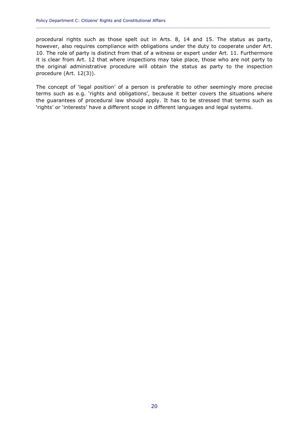procedural rights such as those spelt out in Arts. 8, 14 and 15. The status as party, however, also requires compliance with obligations under the duty to cooperate under Art. 10. The role of party is distinct from that of a witness or expert under Art. 11. Furthermore it is clear from Art. 12 that where inspections may take place, those who are not party to the original administrative procedure will obtain the status as party to the inspection procedure (Art. 12(3)).

**\_\_\_\_\_\_\_\_\_\_\_\_\_\_\_\_\_\_\_\_\_\_\_\_\_\_\_\_\_\_\_\_\_\_\_\_\_\_\_\_\_\_\_\_\_\_\_\_\_\_\_\_\_\_\_\_\_\_\_\_\_\_\_\_\_\_\_\_\_\_\_\_\_\_\_\_\_\_\_\_\_\_\_\_\_\_\_\_\_\_\_\_**

The concept of 'legal position' of a person is preferable to other seemingly more precise terms such as e.g. 'rights and obligations', because it better covers the situations where the guarantees of procedural law should apply. It has to be stressed that terms such as 'rights' or 'interests' have a different scope in different languages and legal systems.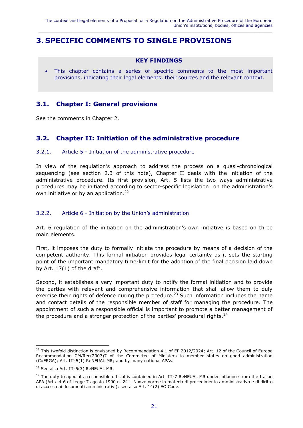## <span id="page-22-0"></span>**3. SPECIFIC COMMENTS TO SINGLE PROVISIONS**

#### **KEY FINDINGS**

 This chapter contains a series of specific comments to the most important provisions, indicating their legal elements, their sources and the relevant context.

#### <span id="page-22-1"></span>**3.1. Chapter I: General provisions**

See the comments in Chapter 2.

#### <span id="page-22-2"></span>**3.2. Chapter II: Initiation of the administrative procedure**

#### <span id="page-22-3"></span>3.2.1. Article 5 - Initiation of the administrative procedure

In view of the regulation's approach to address the process on a quasi-chronological sequencing (see section [2.3](#page-14-1) of this note), Chapter II deals with the initiation of the administrative procedure. Its first provision, Art. 5 lists the two ways administrative procedures may be initiated according to sector-specific legislation: on the administration's own initiative or by an application.<sup>22</sup>

#### <span id="page-22-4"></span>3.2.2. Article 6 - Initiation by the Union's administration

Art. 6 regulation of the initiation on the administration's own initiative is based on three main elements.

First, it imposes the duty to formally initiate the procedure by means of a decision of the competent authority. This formal initiation provides legal certainty as it sets the starting point of the important mandatory time-limit for the adoption of the final decision laid down by Art. 17(1) of the draft.

Second, it establishes a very important duty to notify the formal initiation and to provide the parties with relevant and comprehensive information that shall allow them to duly exercise their rights of defence during the procedure.<sup>23</sup> Such information includes the name and contact details of the responsible member of staff for managing the procedure. The appointment of such a responsible official is important to promote a better management of the procedure and a stronger protection of the parties' procedural rights. $^{24}$ 

 $^{22}$  This twofold distinction is envisaged by Recommendation 4.1 of EP 2012/2024; Art. 12 of the Council of Europe Recommendation CM/Rec(2007)7 of the Committee of Ministers to member states on good administration (CoERGA); Art. III-5(1) ReNEUAL MR; and by many national APAs.

<sup>&</sup>lt;sup>23</sup> See also Art. III-5(3) ReNEUAL MR.

<sup>&</sup>lt;sup>24</sup> The duty to appoint a responsible official is contained in Art. III-7 ReNEUAL MR under influence from the Italian APA (Arts. 4-6 of Legge 7 agosto 1990 n. 241, Nuove norme in materia di procedimento amministrativo e di diritto di accesso ai documenti amministrativi); see also Art. 14(2) EO Code.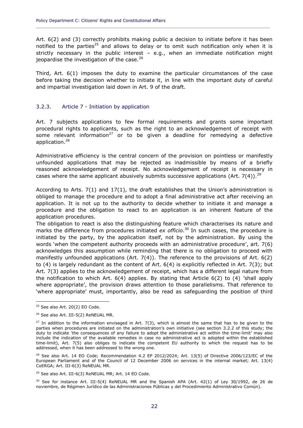Art. 6(2) and (3) correctly prohibits making public a decision to initiate before it has been notified to the parties<sup>25</sup> and allows to delay or to omit such notification only when it is strictly necessary in the public interest  $-$  e.g., when an immediate notification might jeopardise the investigation of the case.<sup>26</sup>

**\_\_\_\_\_\_\_\_\_\_\_\_\_\_\_\_\_\_\_\_\_\_\_\_\_\_\_\_\_\_\_\_\_\_\_\_\_\_\_\_\_\_\_\_\_\_\_\_\_\_\_\_\_\_\_\_\_\_\_\_\_\_\_\_\_\_\_\_\_\_\_\_\_\_\_\_\_\_\_\_\_\_\_\_\_\_\_\_\_\_\_\_**

Third, Art. 6(1) imposes the duty to examine the particular circumstances of the case before taking the decision whether to initiate it, in line with the important duty of careful and impartial investigation laid down in Art. 9 of the draft.

#### <span id="page-23-0"></span>3.2.3. Article 7 - Initiation by application

Art. 7 subjects applications to few formal requirements and grants some important procedural rights to applicants, such as the right to an acknowledgement of receipt with some relevant information<sup>27</sup> or to be given a deadline for remedying a defective application.<sup>28</sup>

Administrative efficiency is the central concern of the provision on pointless or manifestly unfounded applications that may be rejected as inadmissible by means of a briefly reasoned acknowledgement of receipt. No acknowledgement of receipt is necessary in cases where the same applicant abusively submits successive applications (Art. 7(4)).  $^{29}$ 

According to Arts.  $7(1)$  and  $17(1)$ , the draft establishes that the Union's administration is obliged to manage the procedure and to adopt a final administrative act after receiving an application. It is not up to the authority to decide whether to initiate it and manage a procedure and the obligation to react to an application is an inherent feature of the application procedures.

The obligation to react is also the distinguishing feature which characterises its nature and marks the difference from procedures initiated *ex officio*. <sup>30</sup> In such cases, the procedure is initiated by the party, by the application itself, not by the administration. By using the words 'when the competent authority proceeds with an administrative procedure', art. 7(6) acknowledges this assumption while reminding that there is no obligation to proceed with manifestly unfounded applications (Art.  $7(4)$ ). The reference to the provisions of Art.  $6(2)$ to (4) is largely redundant as the content of Art. 6(4) is explicitly reflected in Art. 7(3); but Art. 7(3) applies to the acknowledgement of receipt, which has a different legal nature from the notification to which Art. 6(4) applies. By stating that Article 6(2) to (4) 'shall apply where appropriate', the provision draws attention to those parallelisms. That reference to 'where appropriate' must, importantly, also be read as safeguarding the position of third

 $25$  See also Art. 20(2) EO Code.

<sup>&</sup>lt;sup>26</sup> See also Art. III-5(2) ReNEUAL MR.

 $^{27}$  In addition to the information envisaged in Art. 7(3), which is almost the same that has to be given to the parties when procedures are initiated on the administration's own initiative (see section [3.2.2](#page-22-4) of this study; the duty to indicate 'the consequences of any failure to adopt the administrative act within the time-limit' may also include the indication of the available remedies in case no administrative act is adopted within the established time-limit), Art. 7(5) also obliges to indicate the competent EU authority to which the request has to be addressed, when it has been addressed to the wrong one.

<sup>&</sup>lt;sup>28</sup> See also Art. 14 EO Code; Recommendation 4.2 EP 2012/2024; Art. 13(5) of Directive 2006/123/EC of the European Parliament and of the Council of 12 December 2006 on services in the internal market; Art. 13(4) CoERGA; Art. III-6(3) ReNEUAL MR.

 $29$  See also Art. III-6(3) ReNEUAL MR; Art. 14 EO Code.

 $30$  See for instance Art. III-5(4) ReNEUAL MR and the Spanish APA (Art. 42(1) of Ley 30/1992, de 26 de noviembre, de Régimen Jurídico de las Administraciones Públicas y del Procedimiento Administrativo Común).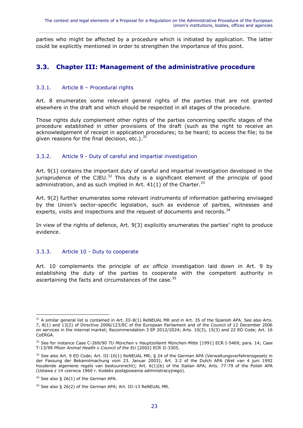parties who might be affected by a procedure which is initiated by application. The latter could be explicitly mentioned in order to strengthen the importance of this point.

 $\_$  ,  $\_$  ,  $\_$  ,  $\_$  ,  $\_$  ,  $\_$  ,  $\_$  ,  $\_$  ,  $\_$  ,  $\_$  ,  $\_$  ,  $\_$  ,  $\_$  ,  $\_$  ,  $\_$  ,  $\_$  ,  $\_$  ,  $\_$  ,  $\_$  ,  $\_$  ,  $\_$  ,  $\_$  ,  $\_$  ,  $\_$  ,  $\_$  ,  $\_$  ,  $\_$  ,  $\_$  ,  $\_$  ,  $\_$  ,  $\_$  ,  $\_$  ,  $\_$  ,  $\_$  ,  $\_$  ,  $\_$  ,  $\_$  ,

## <span id="page-24-0"></span>**3.3. Chapter III: Management of the administrative procedure**

#### <span id="page-24-1"></span>3.3.1. Article 8 – Procedural rights

Art. 8 enumerates some relevant general rights of the parties that are not granted elsewhere in the draft and which should be respected in all stages of the procedure.

Those rights duly complement other rights of the parties concerning specific stages of the procedure established in other provisions of the draft (such as the right to receive an acknowledgement of receipt in application procedures; to be heard; to access the file; to be given reasons for the final decision, etc.). $31$ 

#### <span id="page-24-2"></span>3.3.2. Article 9 - Duty of careful and impartial investigation

Art. 9(1) contains the important duty of careful and impartial investigation developed in the jurisprudence of the CJEU.<sup>32</sup> This duty is a significant element of the principle of good administration, and as such implied in Art.  $41(1)$  of the Charter.<sup>33</sup>

Art. 9(2) further enumerates some relevant instruments of information gathering envisaged by the Union's sector-specific legislation, such as evidence of parties, witnesses and experts, visits and inspections and the request of documents and records.<sup>34</sup>

In view of the rights of defence, Art. 9(3) explicitly enumerates the parties' right to produce evidence.

#### <span id="page-24-3"></span>3.3.3. Article 10 - Duty to cooperate

Art. 10 complements the principle of *ex officio* investigation laid down in Art. 9 by establishing the duty of the parties to cooperate with the competent authority in ascertaining the facts and circumstances of the case.<sup>35</sup>

 $31$  A similar general list is contained in Art. III-8(1) ReNEUAL MR and in Art. 35 of the Spanish APA. See also Arts. 7, 8(1) and 13(2) of Directive 2006/123/EC of the European Parliament and of the Council of 12 December 2006 on services in the internal market; Recommendation 3 EP 2012/2024; Arts. 10(3), 15(3) and 22 EO Code; Art. 16 CoERGA.

<sup>32</sup> See for instance Case C-269/90 *TU München* v *Hauptzollamt München-Mitte* [1991] ECR I-5469, para. 14; Case T-13/99 *Pfizer Animal Health v Council of the EU* [2002] ECR II-3305.

<sup>33</sup> See also Art. 9 EO Code; Art. III-10(1) ReNEUAL MR; § 24 of the German APA (Verwaltungsverfahrensgesetz in der Fassung der Bekanntmachung vom 23. Januar 2003); Art. 3:2 of the Dutch APA (Wet van 4 juni 1992 houdende algemene regels van bestuursrecht); Art. 6(1)(b) of the Italian APA; Arts. 77-79 of the Polish APA (Ustawa z 14 czerwca 1960 r. Kodeks postępowania administracyjnego).

 $34$  See also § 26(1) of the German APA.

<sup>35</sup> See also § 26(2) of the German APA; Art. III-13 ReNEUAL MR.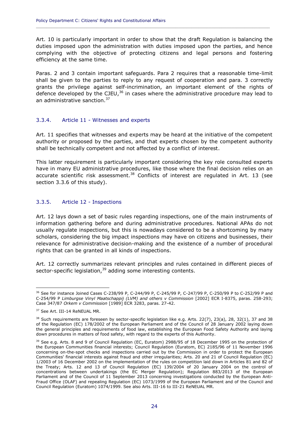Art. 10 is particularly important in order to show that the draft Regulation is balancing the duties imposed upon the administration with duties imposed upon the parties, and hence complying with the objective of protecting citizens and legal persons and fostering efficiency at the same time.

**\_\_\_\_\_\_\_\_\_\_\_\_\_\_\_\_\_\_\_\_\_\_\_\_\_\_\_\_\_\_\_\_\_\_\_\_\_\_\_\_\_\_\_\_\_\_\_\_\_\_\_\_\_\_\_\_\_\_\_\_\_\_\_\_\_\_\_\_\_\_\_\_\_\_\_\_\_\_\_\_\_\_\_\_\_\_\_\_\_\_\_\_**

Paras. 2 and 3 contain important safeguards. Para 2 requires that a reasonable time-limit shall be given to the parties to reply to any request of cooperation and para. 3 correctly grants the privilege against self-incrimination, an important element of the rights of defence developed by the CJEU, $^{36}$  in cases where the administrative procedure may lead to an administrative sanction.<sup>37</sup>

#### <span id="page-25-0"></span>3.3.4. Article 11 - Witnesses and experts

Art. 11 specifies that witnesses and experts may be heard at the initiative of the competent authority or proposed by the parties, and that experts chosen by the competent authority shall be technically competent and not affected by a conflict of interest.

This latter requirement is particularly important considering the key role consulted experts have in many EU administrative procedures, like those where the final decision relies on an accurate scientific risk assessment.<sup>38</sup> Conflicts of interest are regulated in Art. 13 (see section [3.3.6](#page-26-0) of this study).

#### <span id="page-25-1"></span>3.3.5. Article 12 - Inspections

Art. 12 lays down a set of basic rules regarding inspections, one of the main instruments of information gathering before and during administrative procedures. National APAs do not usually regulate inspections, but this is nowadays considered to be a shortcoming by many scholars, considering the big impact inspections may have on citizens and businesses, their relevance for administrative decision-making and the existence of a number of procedural rights that can be granted in all kinds of inspections.

Art. 12 correctly summarizes relevant principles and rules contained in different pieces of sector-specific legislation,<sup>39</sup> adding some interesting contents.

 $\overline{a}$ <sup>36</sup> See for instance Joined Cases C-238/99 P, C-244/99 P, C-245/99 P, C-247/99 P, C-250/99 P to C-252/99 P and C-254/99 P *Limburgse Vinyl Maatschappij (LVM) and others v Commission* [2002] ECR I-8375, paras. 258-293; Case 347/87 *Orkem v Commission* [1989] ECR 3283, paras. 27-42.

<sup>&</sup>lt;sup>37</sup> See Art. III-14 ReNEUAL MR.

 $38$  Such requirements are foreseen by sector-specific legislation like e.g. Arts. 22(7), 23(a), 28, 32(1), 37 and 38 of the Regulation (EC) 178/2002 of the European Parliament and of the Council of 28 January 2002 laying down the general principles and requirements of food law, establishing the European Food Safety Authority and laying down procedures in matters of food safety, with regard to the experts of this Authority.

<sup>&</sup>lt;sup>39</sup> See e.g. Arts. 8 and 9 of Council Regulation (EC, Euratom) 2988/95 of 18 December 1995 on the protection of the European Communities financial interests; Council Regulation (Euratom, EC) 2185/96 of 11 November 1996 concerning on-the-spot checks and inspections carried out by the Commission in order to protect the European Communities' financial interests against fraud and other irregularities; Arts. 20 and 21 of Council Regulation (EC) 1/2003 of 16 December 2002 on the implementation of the rules on competition laid down in Articles 81 and 82 of the Treaty; Arts. 12 and 13 of Council Regulation (EC) 139/2004 of 20 January 2004 on the control of concentrations between undertakings (the EC Merger Regulation); Regulation 883/2013 of the European Parliament and of the Council of 11 September 2013 concerning investigations conducted by the European Anti-Fraud Office (OLAF) and repealing Regulation (EC) 1073/1999 of the European Parliament and of the Council and Council Regulation (Euratom) 1074/1999. See also Arts. III-16 to III-21 ReNEUAL MR.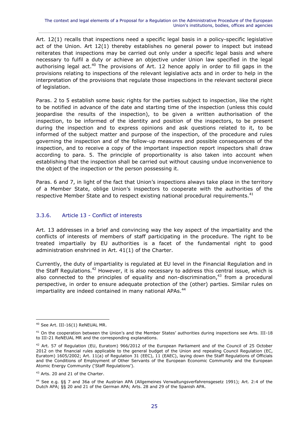Art. 12(1) recalls that inspections need a specific legal basis in a policy-specific legislative act of the Union. Art 12(1) thereby establishes no general power to inspect but instead reiterates that inspections may be carried out only under a specific legal basis and where necessary to fulfil a duty or achieve an objective under Union law specified in the legal authorising legal act.<sup>40</sup> The provisions of Art. 12 hence apply in order to fill gaps in the provisions relating to inspections of the relevant legislative acts and in order to help in the interpretation of the provisions that regulate those inspections in the relevant sectoral piece of legislation.

Paras. 2 to 5 establish some basic rights for the parties subject to inspection, like the right to be notified in advance of the date and starting time of the inspection (unless this could jeopardise the results of the inspection), to be given a written authorisation of the inspection, to be informed of the identity and position of the inspectors, to be present during the inspection and to express opinions and ask questions related to it, to be informed of the subject matter and purpose of the inspection, of the procedure and rules governing the inspection and of the follow-up measures and possible consequences of the inspection, and to receive a copy of the important inspection report inspectors shall draw according to para. 5. The principle of proportionality is also taken into account when establishing that the inspection shall be carried out without causing undue inconvenience to the object of the inspection or the person possessing it.

Paras. 6 and 7, in light of the fact that Union's inspections always take place in the territory of a Member State, oblige Union's inspectors to cooperate with the authorities of the respective Member State and to respect existing national procedural requirements.<sup>41</sup>

#### <span id="page-26-0"></span>3.3.6. Article 13 - Conflict of interests

Art. 13 addresses in a brief and convincing way the key aspect of the impartiality and the conflicts of interests of members of staff participating in the procedure. The right to be treated impartially by EU authorities is a facet of the fundamental right to good administration enshrined in Art. 41(1) of the Charter.

Currently, the duty of impartiality is regulated at EU level in the Financial Regulation and in the Staff Regulations.<sup>42</sup> However, it is also necessary to address this central issue, which is also connected to the principles of equality and non-discrimination, $43$  from a procedural perspective, in order to ensure adequate protection of the (other) parties. Similar rules on impartiality are indeed contained in many national APAs.<sup>44</sup>

 $\overline{a}$ <sup>40</sup> See Art. III-16(1) ReNEUAL MR.

<sup>&</sup>lt;sup>41</sup> On the cooperation between the Union's and the Member States' authorities during inspections see Arts. III-18 to III-21 ReNEUAL MR and the corresponding explanations.

<sup>&</sup>lt;sup>42</sup> Art. 57 of Regulation (EU, Euratom) 966/2012 of the European Parliament and of the Council of 25 October 2012 on the financial rules applicable to the general budget of the Union and repealing Council Regulation (EC, Euratom) 1605/2002; Art. 11(a) of Regulation 31 (EEC), 11 (EAEC), laying down the Staff Regulations of Officials and the Conditions of Employment of Other Servants of the European Economic Community and the European Atomic Energy Community ('Staff Regulations').

<sup>&</sup>lt;sup>43</sup> Arts. 20 and 21 of the Charter.

<sup>44</sup> See e.g. §§ 7 and 36a of the Austrian APA (Allgemeines Verwaltungsverfahrensgesetz 1991); Art. 2:4 of the Dutch APA; §§ 20 and 21 of the German APA; Arts. 28 and 29 of the Spanish APA.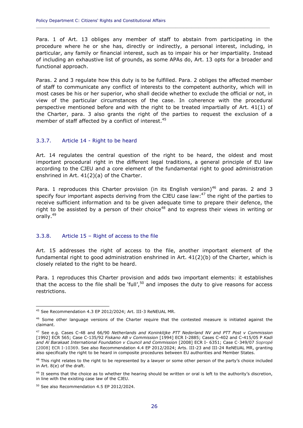Para. 1 of Art. 13 obliges any member of staff to abstain from participating in the procedure where he or she has, directly or indirectly, a personal interest, including, in particular, any family or financial interest, such as to impair his or her impartiality. Instead of including an exhaustive list of grounds, as some APAs do, Art. 13 opts for a broader and functional approach.

**\_\_\_\_\_\_\_\_\_\_\_\_\_\_\_\_\_\_\_\_\_\_\_\_\_\_\_\_\_\_\_\_\_\_\_\_\_\_\_\_\_\_\_\_\_\_\_\_\_\_\_\_\_\_\_\_\_\_\_\_\_\_\_\_\_\_\_\_\_\_\_\_\_\_\_\_\_\_\_\_\_\_\_\_\_\_\_\_\_\_\_\_**

Paras. 2 and 3 regulate how this duty is to be fulfilled. Para. 2 obliges the affected member of staff to communicate any conflict of interests to the competent authority, which will in most cases be his or her superior, who shall decide whether to exclude the official or not, in view of the particular circumstances of the case. In coherence with the procedural perspective mentioned before and with the right to be treated impartially of Art. 41(1) of the Charter, para. 3 also grants the right of the parties to request the exclusion of a member of staff affected by a conflict of interest.<sup>45</sup>

#### <span id="page-27-0"></span>3.3.7. Article 14 - Right to be heard

Art. 14 regulates the central question of the right to be heard, the oldest and most important procedural right in the different legal traditions, a general principle of EU law according to the CJEU and a core element of the fundamental right to good administration enshrined in Art. 41(2)(a) of the Charter.

Para. 1 reproduces this Charter provision (in its English version)<sup>46</sup> and paras. 2 and 3 specify four important aspects deriving from the CJEU case law:<sup>47</sup> the right of the parties to receive sufficient information and to be given adequate time to prepare their defence, the right to be assisted by a person of their choice<sup>48</sup> and to express their views in writing or orally.<sup>49</sup>

#### <span id="page-27-1"></span>3.3.8. Article 15 – Right of access to the file

Art. 15 addresses the right of access to the file, another important element of the fundamental right to good administration enshrined in Art.  $41(2)(b)$  of the Charter, which is closely related to the right to be heard.

Para. 1 reproduces this Charter provision and adds two important elements: it establishes that the access to the file shall be 'full', $50$  and imposes the duty to give reasons for access restrictions.

<sup>45</sup> See Recommendation 4.3 EP 2012/2024; Art. III-3 ReNEUAL MR.

<sup>&</sup>lt;sup>46</sup> Some other language versions of the Charter require that the contested measure is initiated against the claimant.

<sup>47</sup> See e.g. Cases C-48 and 66/90 *Netherlands and Koninklijke PTT Nederland NV and PTT Post v Commission*  [1992] ECR 565; Case C-135/92 *Fiskano AB v Commission* [1994] ECR I-2885; Cases C-402 and C-415/05 P *Kadi and Al Barakaat International Foundation v Council and Commission* [2008] ECR I- 6351; Case C‑349/07 *Sopropé* [2008] ECR I-10369. See also Recommendation 4.4 EP 2012/2024; Arts. III-23 and III-24 ReNEUAL MR, granting also specifically the right to be heard in composite procedures between EU authorities and Member States.

<sup>&</sup>lt;sup>48</sup> This right relates to the right to be represented by a lawyer or some other person of the party's choice included in Art. 8(e) of the draft.

 $49$  It seems that the choice as to whether the hearing should be written or oral is left to the authority's discretion, in line with the existing case law of the CJEU.

<sup>&</sup>lt;sup>50</sup> See also Recommendation 4.5 EP 2012/2024.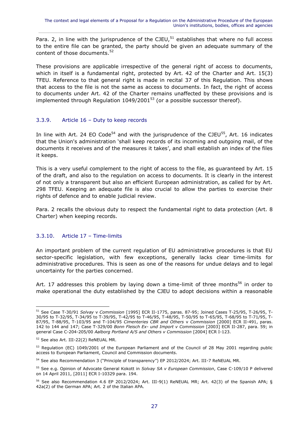Para. 2, in line with the jurisprudence of the CJEU, $51$  establishes that where no full access to the entire file can be granted, the party should be given an adequate summary of the content of those documents.<sup>52</sup>

These provisions are applicable irrespective of the general right of access to documents, which in itself is a fundamental right, protected by Art. 42 of the Charter and Art. 15(3) TFEU. Reference to that general right is made in recital 37 of this Regulation. This shows that access to the file is not the same as access to documents. In fact, the right of access to documents under Art. 42 of the Charter remains unaffected by these provisions and is implemented through Regulation  $1049/2001^{53}$  (or a possible successor thereof).

#### <span id="page-28-0"></span>3.3.9. Article 16 – Duty to keep records

In line with Art. 24 EO Code<sup>54</sup> and with the jurisprudence of the CJEU<sup>55</sup>, Art. 16 indicates that the Union's administration 'shall keep records of its incoming and outgoing mail, of the documents it receives and of the measures it takes', and shall establish an index of the files it keeps.

This is a very useful complement to the right of access to the file, as guaranteed by Art. 15 of the draft, and also to the regulation on access to documents. It is clearly in the interest of not only a transparent but also an efficient European administration, as called for by Art. 298 TFEU. Keeping an adequate file is also crucial to allow the parties to exercise their rights of defence and to enable judicial review.

Para. 2 recalls the obvious duty to respect the fundamental right to data protection (Art. 8 Charter) when keeping records.

#### <span id="page-28-1"></span>3.3.10. Article 17 – Time-limits

An important problem of the current regulation of EU administrative procedures is that EU sector-specific legislation, with few exceptions, generally lacks clear time-limits for administrative procedures. This is seen as one of the reasons for undue delays and to legal uncertainty for the parties concerned.

Art. 17 addresses this problem by laying down a time-limit of three months<sup>56</sup> in order to make operational the duty established by the CJEU to adopt decisions within a reasonable

<sup>51</sup> See Case T-30/91 *Solvay* v *Commission* [1995] ECR II-1775, paras. 87-95; Joined Cases T-25/95, T-26/95, T-30/95 to T-32/95, T-34/95 to T-39/95, T-42/95 to T-46/95, T-48/95, T-50/95 to T-65/95, T-68/95 to T-71/95, T-87/95, T-88/95, T-103/95 and T-104/95 *Cimenteries CBR and Others* v *Commission* [2000] ECR II-491, paras. 142 to 144 and 147; Case T-329/00 *Bonn Fleisch Ex- und Import v Commission* [2003] ECR II-287, para. 59; in general Case C-204-205/00 *Aalborg Portland A/S and Others v Commission* [2004] ECR I-123.

<sup>52</sup> See also Art. III-22(2) ReNEUAL MR.

<sup>53</sup> Regulation (EC) 1049/2001 of the European Parliament and of the Council of 28 May 2001 regarding public access to European Parliament, Council and Commission documents.

<sup>&</sup>lt;sup>54</sup> See also Recommendation 3 ("Principle of transparency") EP 2012/2024; Art. III-7 ReNEUAL MR.

<sup>55</sup> See e.g. Opinion of Advocate General Kokott in *Solvay SA v European Commission*, Case C-109/10 P delivered on 14 April 2011, [2011] ECR I-10329 para. 194.

 $56$  See also Recommendation 4.6 EP 2012/2024; Art. III-9(1) ReNEUAL MR; Art. 42(3) of the Spanish APA; § 42a(2) of the German APA; Art. 2 of the Italian APA.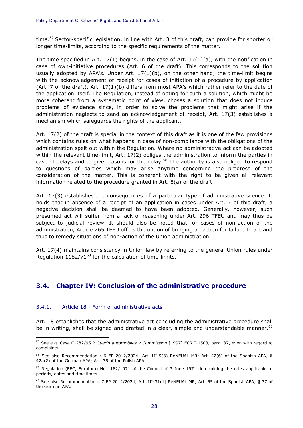time.<sup>57</sup> Sector-specific legislation, in line with Art. 3 of this draft, can provide for shorter or longer time-limits, according to the specific requirements of the matter.

**\_\_\_\_\_\_\_\_\_\_\_\_\_\_\_\_\_\_\_\_\_\_\_\_\_\_\_\_\_\_\_\_\_\_\_\_\_\_\_\_\_\_\_\_\_\_\_\_\_\_\_\_\_\_\_\_\_\_\_\_\_\_\_\_\_\_\_\_\_\_\_\_\_\_\_\_\_\_\_\_\_\_\_\_\_\_\_\_\_\_\_\_**

The time specified in Art.  $17(1)$  begins, in the case of Art.  $17(1)(a)$ , with the notification in case of own-initiative procedures (Art. 6 of the draft). This corresponds to the solution usually adopted by APA's. Under Art.  $17(1)(b)$ , on the other hand, the time-limit begins with the acknowledgement of receipt for cases of initiation of a procedure by application (Art. 7 of the draft). Art. 17(1)(b) differs from most APA's which rather refer to the date of the application itself. The Regulation, instead of opting for such a solution, which might be more coherent from a systematic point of view, choses a solution that does not induce problems of evidence since, in order to solve the problems that might arise if the administration neglects to send an acknowledgement of receipt, Art. 17(3) establishes a mechanism which safeguards the rights of the applicant.

Art. 17(2) of the draft is special in the context of this draft as it is one of the few provisions which contains rules on what happens in case of non-compliance with the obligations of the administration spelt out within the Regulation. Where no administrative act can be adopted within the relevant time-limit, Art. 17(2) obliges the administration to inform the parties in case of delays and to give reasons for the delay.<sup>58</sup> The authority is also obliged to respond to questions of parties which may arise anytime concerning the progress of the consideration of the matter. This is coherent with the right to be given all relevant information related to the procedure granted in Art. 8(a) of the draft.

Art. 17(3) establishes the consequences of a particular type of administrative silence. It holds that in absence of a receipt of an application in cases under Art. 7 of this draft, a negative decision shall be deemed to have been adopted. Generally, however, such presumed act will suffer from a lack of reasoning under Art. 296 TFEU and may thus be subject to judicial review. It should also be noted that for cases of non-action of the administration, Article 265 TFEU offers the option of bringing an action for failure to act and thus to remedy situations of non-action of the Union administration.

Art. 17(4) maintains consistency in Union law by referring to the general Union rules under Regulation  $1182/71^{59}$  for the calculation of time-limits.

#### <span id="page-29-0"></span>**3.4. Chapter IV: Conclusion of the administrative procedure**

#### <span id="page-29-1"></span>3.4.1. Article 18 - Form of administrative acts

 $\overline{a}$ 

Art. 18 establishes that the administrative act concluding the administrative procedure shall be in writing, shall be signed and drafted in a clear, simple and understandable manner. $60$ 

<sup>57</sup> See e.g. Case C-282/95 P *Guérin automobiles v Commission* [1997] ECR I-1503, para. 37, even with regard to complaints.

 $58$  See also Recommendation 4.6 EP 2012/2024; Art. III-9(3) ReNEUAL MR; Art. 42(6) of the Spanish APA; § 42a(2) of the German APA; Art. 35 of the Polish APA.

<sup>&</sup>lt;sup>59</sup> Regulation (EEC, Euratom) No 1182/1971 of the Council of 3 June 1971 determining the rules applicable to periods, dates and time limits.

<sup>60</sup> See also Recommendation 4.7 EP 2012/2024; Art. III-31(1) ReNEUAL MR; Art. 55 of the Spanish APA; § 37 of the German APA.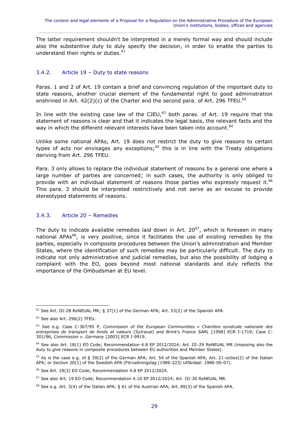The latter requirement shouldn't be interpreted in a merely formal way and should include also the substantive duty to duly specify the decision, in order to enable the parties to understand their rights or duties.<sup>61</sup>

#### <span id="page-30-0"></span>3.4.2. Article 19 – Duty to state reasons

Paras. 1 and 2 of Art. 19 contain a brief and convincing regulation of the important duty to state reasons, another crucial element of the fundamental right to good administration enshrined in Art. 42(2)(c) of the Charter and the second para. of Art. 296 TFEU.<sup>62</sup>

In line with the existing case law of the CJEU, $^{63}$  both paras. of Art. 19 require that the statement of reasons is clear and that it indicates the legal basis, the relevant facts and the way in which the different relevant interests have been taken into account.<sup>64</sup>

Unlike some national APAs, Art. 19 does not restrict the duty to give reasons to certain types of acts nor envisages any exceptions;<sup>65</sup> this is in line with the Treaty obligations deriving from Art. 296 TFEU.

Para. 3 only allows to replace the individual statement of reasons by a general one where a large number of parties are concerned; in such cases, the authority is only obliged to provide with an individual statement of reasons those parties who expressly request it.<sup>66</sup> This para. 3 should be interpreted restrictively and not serve as an excuse to provide stereotyped statements of reasons.

#### <span id="page-30-1"></span>3.4.3. Article 20 – Remedies

The duty to indicate available remedies laid down in Art.  $20^{67}$ , which is foreseen in many national APAs $^{68}$ , is very positive, since it facilitates the use of existing remedies by the parties, especially in composite procedures between the Union's administration and Member States, where the identification of such remedies may be particularly difficult. The duty to indicate not only administrative and judicial remedies, but also the possibility of lodging a complaint with the EO, goes beyond most national standards and duly reflects the importance of the Ombudsman at EU level.

 $\overline{a}$  $61$  See Art. III-28 ReNEUAL MR; § 37(1) of the German APA; Art. 53(2) of the Spanish APA.

 $62$  See also Art. 296(2) TFEU.

<sup>63</sup> See e.g. Case C-367/95 P, *Commission of the European Communities v Chambre syndicale nationale des*  entreprises de transport de fonds et valeurs (Sytraval) and Brink's France SARL [1998] ECR I-1719; Case C-301/96, *Commission v. Germany* [2003] ECR I-9919.

<sup>&</sup>lt;sup>64</sup> See also Art. 18(1) EO Code; Recommendation 4.8 EP 2012/2024; Art. III-29 ReNEUAL MR (imposing also the duty to give reasons in composite procedures between EU authorities and Member States).

<sup>65</sup> As is the case e.g. of § 39(2) of the German APA; Art. 54 of the Spanish APA; Art. 21-*octies*(2) of the Italian APA; or Section 20(1) of the Swedish APA (Förvaltningslag (1986:223) Utfärdad: 1986-05-07).

<sup>66</sup> See Art. 18(3) EO Code; Recommendation 4.8 EP 2012/2024.

<sup>67</sup> See also Art. 19 EO Code; Recommendation 4.10 EP 2012/2024; Art. III-30 ReNEUAL MR.

 $^{68}$  See e.g. Art. 3(4) of the Italian APA; § 61 of the Austrian APA; Art. 89(3) of the Spanish APA.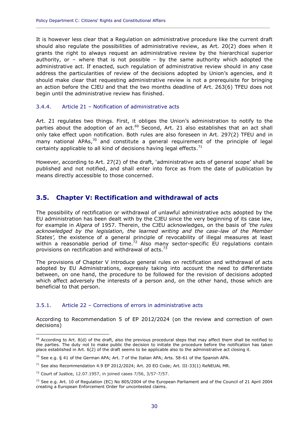It is however less clear that a Regulation on administrative procedure like the current draft should also regulate the possibilities of administrative review, as Art. 20(2) does when it grants the right to always request an administrative review by the hierarchical superior authority, or  $-$  where that is not possible  $-$  by the same authority which adopted the administrative act. If enacted, such regulation of administrative review should in any case address the particularities of review of the decisions adopted by Union's agencies, and it should make clear that requesting administrative review is not a prerequisite for bringing an action before the CJEU and that the two months deadline of Art. 263(6) TFEU does not begin until the administrative review has finished.

**\_\_\_\_\_\_\_\_\_\_\_\_\_\_\_\_\_\_\_\_\_\_\_\_\_\_\_\_\_\_\_\_\_\_\_\_\_\_\_\_\_\_\_\_\_\_\_\_\_\_\_\_\_\_\_\_\_\_\_\_\_\_\_\_\_\_\_\_\_\_\_\_\_\_\_\_\_\_\_\_\_\_\_\_\_\_\_\_\_\_\_\_**

#### <span id="page-31-0"></span>3.4.4. Article 21 – Notification of administrative acts

Art. 21 regulates two things. First, it obliges the Union's administration to notify to the parties about the adoption of an act.<sup>69</sup> Second, Art. 21 also establishes that an act shall only take effect upon notification. Both rules are also foreseen in Art. 297(2) TFEU and in many national APAs, $70$  and constitute a general requirement of the principle of legal certainty applicable to all kind of decisions having legal effects.<sup>71</sup>

However, according to Art. 27(2) of the draft, 'administrative acts of general scope' shall be published and not notified, and shall enter into force as from the date of publication by means directly accessible to those concerned.

#### <span id="page-31-1"></span>**3.5. Chapter V: Rectification and withdrawal of acts**

The possibility of rectification or withdrawal of unlawful administrative acts adopted by the EU administration has been dealt with by the CJEU since the very beginning of its case law, for example in *Algera* of 1957. Therein, the CJEU acknowledges, on the basis of *'the rules acknowledged by the legislation, the learned writing and the case-law of the Member States',* the existence of a general principle of revocability of illegal measures at least within a reasonable period of time.<sup>72</sup> Also many sector-specific EU regulations contain provisions on rectification and withdrawal of acts.<sup>73</sup>

The provisions of Chapter V introduce general rules on rectification and withdrawal of acts adopted by EU Administrations, expressly taking into account the need to differentiate between, on one hand, the procedure to be followed for the revision of decisions adopted which affect adversely the interests of a person and, on the other hand, those which are beneficial to that person.

#### <span id="page-31-2"></span>3.5.1. Article 22 – Corrections of errors in administrative acts

According to Recommendation 5 of EP 2012/2024 (on the review and correction of own decisions)

 $69$  According to Art. 8(d) of the draft, also the previous procedural steps that may affect them shall be notified to the parties. The duty not to make public the decision to initiate the procedure before the notification has taken place established in Art. 6(2) of the draft seems to be applicable also to the administrative act closing it.

 $70$  See e.g. § 41 of the German APA; Art. 7 of the Italian APA; Arts. 58-61 of the Spanish APA.

 $^{71}$  See also Recommendation 4.9 EP 2012/2024; Art. 20 EO Code; Art. III-33(1) ReNEUAL MR.

<sup>72</sup> Court of Justice, 12.07.1957, in joined cases 7/56, 3/57-7/57.

 $73$  See e.g. Art. 10 of Regulation (EC) No 805/2004 of the European Parliament and of the Council of 21 April 2004 creating a European Enforcement Order for uncontested claims.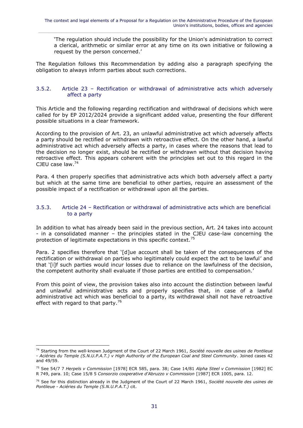'The regulation should include the possibility for the Union's administration to correct a clerical, arithmetic or similar error at any time on its own initiative or following a request by the person concerned.'

The Regulation follows this Recommendation by adding also a paragraph specifying the obligation to always inform parties about such corrections.

#### <span id="page-32-0"></span>3.5.2. Article 23 – Rectification or withdrawal of administrative acts which adversely affect a party

This Article and the following regarding rectification and withdrawal of decisions which were called for by EP 2012/2024 provide a significant added value, presenting the four different possible situations in a clear framework.

According to the provision of Art. 23, an unlawful administrative act which adversely affects a party should be rectified or withdrawn with retroactive effect. On the other hand, a lawful administrative act which adversely affects a party, in cases where the reasons that lead to the decision no longer exist, should be rectified or withdrawn without that decision having retroactive effect. This appears coherent with the principles set out to this regard in the CJEU case law.<sup>74</sup>

Para. 4 then properly specifies that administrative acts which both adversely affect a party but which at the same time are beneficial to other parties, require an assessment of the possible impact of a rectification or withdrawal upon all the parties.

#### <span id="page-32-1"></span>3.5.3. Article 24 – Rectification or withdrawal of administrative acts which are beneficial to a party

In addition to what has already been said in the previous section, Art. 24 takes into account - in a consolidated manner – the principles stated in the CJEU case-law concerning the protection of legitimate expectations in this specific context.<sup>75</sup>

Para. 2 specifies therefore that '[d]ue account shall be taken of the consequences of the rectification or withdrawal on parties who legitimately could expect the act to be lawful' and that '[i]f such parties would incur losses due to reliance on the lawfulness of the decision, the competent authority shall evaluate if those parties are entitled to compensation.'

<span id="page-32-2"></span>From this point of view, the provision takes also into account the distinction between lawful and unlawful administrative acts and properly specifies that, in case of a lawful administrative act which was beneficial to a party, its withdrawal shall not have retroactive effect with regard to that party. $76$ 

<sup>74</sup> Starting from the well-known Judgment of the Court of 22 March 1961, *Société nouvelle des usines de Pontlieue - Aciéries du Temple (S.N.U.P.A.T.) v High Authority of the European Coal and Steel Community*. Joined cases 42 and 49/59.

<sup>75</sup> See 54/7 7 *Herpels v Commission* [1978] ECR 585, para. 38; Case 14/81 *Alpha Steel v Commission* [1982] EC R 749, para. 10; Case 15/8 5 *Consorzio cooperative d'Abruzzo v Commission* [1987] ECR 1005, para. 12.

<sup>76</sup> See for this distinction already in the Judgment of the Court of 22 March 1961, *Société nouvelle des usines de Pontlieue - Aciéries du Temple (S.N.U.P.A.T.)* cit.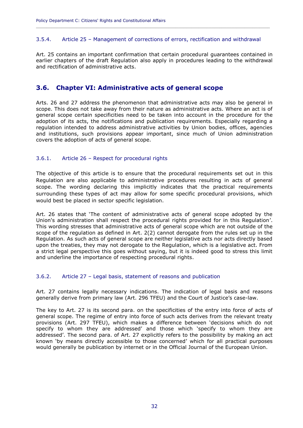#### 3.5.4. Article 25 – Management of corrections of errors, rectification and withdrawal

**\_\_\_\_\_\_\_\_\_\_\_\_\_\_\_\_\_\_\_\_\_\_\_\_\_\_\_\_\_\_\_\_\_\_\_\_\_\_\_\_\_\_\_\_\_\_\_\_\_\_\_\_\_\_\_\_\_\_\_\_\_\_\_\_\_\_\_\_\_\_\_\_\_\_\_\_\_\_\_\_\_\_\_\_\_\_\_\_\_\_\_\_**

Art. 25 contains an important confirmation that certain procedural guarantees contained in earlier chapters of the draft Regulation also apply in procedures leading to the withdrawal and rectification of administrative acts.

#### <span id="page-33-0"></span>**3.6. Chapter VI: Administrative acts of general scope**

Arts. 26 and 27 address the phenomenon that administrative acts may also be general in scope. This does not take away from their nature as administrative acts. Where an act is of general scope certain specificities need to be taken into account in the procedure for the adoption of its acts, the notifications and publication requirements. Especially regarding a regulation intended to address administrative activities by Union bodies, offices, agencies and institutions, such provisions appear important, since much of Union administration covers the adoption of acts of general scope.

#### <span id="page-33-1"></span>3.6.1. Article 26 – Respect for procedural rights

The objective of this article is to ensure that the procedural requirements set out in this Regulation are also applicable to administrative procedures resulting in acts of general scope. The wording declaring this implicitly indicates that the practical requirements surrounding these types of act may allow for some specific procedural provisions, which would best be placed in sector specific legislation.

Art. 26 states that 'The content of administrative acts of general scope adopted by the Union's administration shall respect the procedural rights provided for in this Regulation'. This wording stresses that administrative acts of general scope which are not outside of the scope of the regulation as defined in Art. 2(2) cannot derogate from the rules set up in the Regulation. As such acts of general scope are neither legislative acts nor acts directly based upon the treaties, they may not derogate to the Regulation, which is a legislative act. From a strict legal perspective this goes without saying, but it is indeed good to stress this limit and underline the importance of respecting procedural rights.

#### <span id="page-33-2"></span>3.6.2. Article 27 – Legal basis, statement of reasons and publication

Art. 27 contains legally necessary indications. The indication of legal basis and reasons generally derive from primary law (Art. 296 TFEU) and the Court of Justice's case-law.

The key to Art. 27 is its second para. on the specificities of the entry into force of acts of general scope. The regime of entry into force of such acts derives from the relevant treaty provisions (Art. 297 TFEU), which makes a difference between 'decisions which do not specify to whom they are addressed' and those which 'specify to whom they are addressed'. The second para. of Art. 27 explicitly refers to the possibility by making an act known 'by means directly accessible to those concerned' which for all practical purposes would generally be publication by internet or in the Official Journal of the European Union.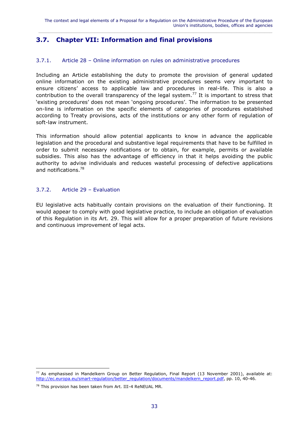## <span id="page-34-0"></span>**3.7. Chapter VII: Information and final provisions**

#### <span id="page-34-1"></span>3.7.1. Article 28 – Online information on rules on administrative procedures

Including an Article establishing the duty to promote the provision of general updated online information on the existing administrative procedures seems very important to ensure citizens' access to applicable law and procedures in real-life. This is also a contribution to the overall transparency of the legal system.<sup>77</sup> It is important to stress that 'existing procedures' does not mean 'ongoing procedures'. The information to be presented on-line is information on the specific elements of categories of procedures established according to Treaty provisions, acts of the institutions or any other form of regulation of soft-law instrument.

This information should allow potential applicants to know in advance the applicable legislation and the procedural and substantive legal requirements that have to be fulfilled in order to submit necessary notifications or to obtain, for example, permits or available subsidies. This also has the advantage of efficiency in that it helps avoiding the public authority to advise individuals and reduces wasteful processing of defective applications and notifications.<sup>78</sup>

#### <span id="page-34-2"></span>3.7.2. Article 29 – Evaluation

EU legislative acts habitually contain provisions on the evaluation of their functioning. It would appear to comply with good legislative practice, to include an obligation of evaluation of this Regulation in its Art. 29. This will allow for a proper preparation of future revisions and continuous improvement of legal acts.

<sup>77</sup> As emphasised in Mandelkern Group on Better Regulation, Final Report (13 November 2001), available at: [http://ec.europa.eu/smart-regulation/better\\_regulation/documents/mandelkern\\_report.pdf,](http://ec.europa.eu/smart-regulation/better_regulation/documents/mandelkern_report.pdf) pp. 10, 40-46.

<sup>&</sup>lt;sup>78</sup> This provision has been taken from Art. III-4 ReNEUAL MR.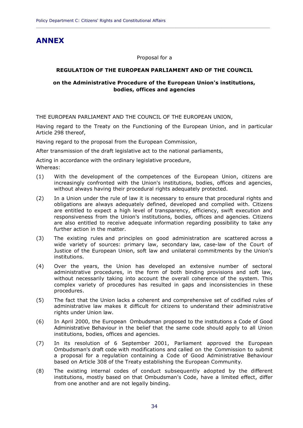## <span id="page-35-0"></span>**ANNEX**

Proposal for a

**\_\_\_\_\_\_\_\_\_\_\_\_\_\_\_\_\_\_\_\_\_\_\_\_\_\_\_\_\_\_\_\_\_\_\_\_\_\_\_\_\_\_\_\_\_\_\_\_\_\_\_\_\_\_\_\_\_\_\_\_\_\_\_\_\_\_\_\_\_\_\_\_\_\_\_\_\_\_\_\_\_\_\_\_\_\_\_\_\_\_\_\_**

#### **REGULATION OF THE EUROPEAN PARLIAMENT AND OF THE COUNCIL**

#### **on the Administrative Procedure of the European Union's institutions, bodies, offices and agencies**

THE EUROPEAN PARLIAMENT AND THE COUNCIL OF THE EUROPEAN UNION,

Having regard to the Treaty on the Functioning of the European Union, and in particular Article 298 thereof,

Having regard to the proposal from the European Commission,

After transmission of the draft legislative act to the national parliaments,

Acting in accordance with the ordinary legislative procedure,

Whereas:

- (1) With the development of the competences of the European Union, citizens are increasingly confronted with the Union's institutions, bodies, offices and agencies, without always having their procedural rights adequately protected.
- (2) In a Union under the rule of law it is necessary to ensure that procedural rights and obligations are always adequately defined, developed and complied with. Citizens are entitled to expect a high level of transparency, efficiency, swift execution and responsiveness from the Union's institutions, bodies, offices and agencies. Citizens are also entitled to receive adequate information regarding possibility to take any further action in the matter.
- (3) The existing rules and principles on good administration are scattered across a wide variety of sources: primary law, secondary law, case-law of the Court of Justice of the European Union, soft law and unilateral commitments by the Union's institutions.
- (4) Over the years, the Union has developed an extensive number of sectoral administrative procedures, in the form of both binding provisions and soft law, without necessarily taking into account the overall coherence of the system. This complex variety of procedures has resulted in gaps and inconsistencies in these procedures.
- (5) The fact that the Union lacks a coherent and comprehensive set of codified rules of administrative law makes it difficult for citizens to understand their administrative rights under Union law.
- (6) In April 2000, the European Ombudsman proposed to the institutions a Code of Good Administrative Behaviour in the belief that the same code should apply to all Union institutions, bodies, offices and agencies.
- (7) In its resolution of 6 September 2001, Parliament approved the European Ombudsman's draft code with modifications and called on the Commission to submit a proposal for a regulation containing a Code of Good Administrative Behaviour based on Article 308 of the Treaty establishing the European Community.
- (8) The existing internal codes of conduct subsequently adopted by the different institutions, mostly based on that Ombudsman's Code, have a limited effect, differ from one another and are not legally binding.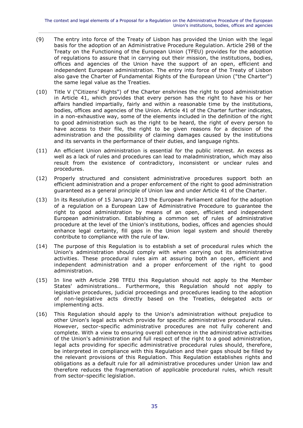- (9) The entry into force of the Treaty of Lisbon has provided the Union with the legal basis for the adoption of an Administrative Procedure Regulation. Article 298 of the Treaty on the Functioning of the European Union (TFEU) provides for the adoption of regulations to assure that in carrying out their mission, the institutions, bodies, offices and agencies of the Union have the support of an open, efficient and independent European administration. The entry into force of the Treaty of Lisbon also gave the Charter of Fundamental Rights of the European Union ("the Charter") the same legal value as the Treaties.
- (10) Title V ("Citizens' Rights") of the Charter enshrines the right to good administration in Article 41, which provides that every person has the right to have his or her affairs handled impartially, fairly and within a reasonable time by the institutions, bodies, offices and agencies of the Union. Article 41 of the Charter further indicates, in a non-exhaustive way, some of the elements included in the definition of the right to good administration such as the right to be heard, the right of every person to have access to their file, the right to be given reasons for a decision of the administration and the possibility of claiming damages caused by the institutions and its servants in the performance of their duties, and language rights.
- (11) An efficient Union administration is essential for the public interest. An excess as well as a lack of rules and procedures can lead to maladministration, which may also result from the existence of contradictory, inconsistent or unclear rules and procedures.
- (12) Properly structured and consistent administrative procedures support both an efficient administration and a proper enforcement of the right to good administration guaranteed as a general principle of Union law and under Article 41 of the Charter.
- (13) In its Resolution of 15 January 2013 the European Parliament called for the adoption of a regulation on a European Law of Administrative Procedure to guarantee the right to good administration by means of an open, efficient and independent European administration. Establishing a common set of rules of administrative procedure at the level of the Union's institutions, bodies, offices and agencies should enhance legal certainty, fill gaps in the Union legal system and should thereby contribute to compliance with the rule of law.
- (14) The purpose of this Regulation is to establish a set of procedural rules which the Union's administration should comply with when carrying out its administrative activities. These procedural rules aim at assuring both an open, efficient and independent administration and a proper enforcement of the right to good administration.
- (15) In line with Article 298 TFEU this Regulation should not apply to the Member States' administrations.. Furthermore, this Regulation should not apply to legislative procedures, judicial proceedings and procedures leading to the adoption of non-legislative acts directly based on the Treaties, delegated acts or implementing acts.
- (16) This Regulation should apply to the Union's administration without prejudice to other Union's legal acts which provide for specific administrative procedural rules. However, sector-specific administrative procedures are not fully coherent and complete. With a view to ensuring overall coherence in the administrative activities of the Union's administration and full respect of the right to a good administration, legal acts providing for specific administrative procedural rules should, therefore, be interpreted in compliance with this Regulation and their gaps should be filled by the relevant provisions of this Regulation. This Regulation establishes rights and obligations as a default rule for all administrative procedures under Union law and therefore reduces the fragmentation of applicable procedural rules, which result from sector-specific legislation.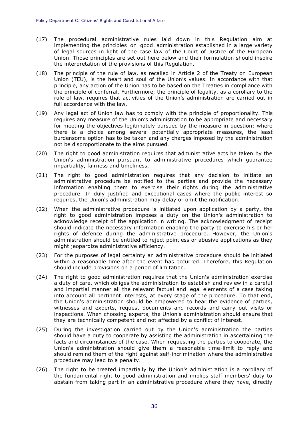(17) The procedural administrative rules laid down in this Regulation aim at implementing the principles on good administration established in a large variety of legal sources in light of the case law of the Court of Justice of the European Union. Those principles are set out here below and their formulation should inspire the interpretation of the provisions of this Regulation.

**\_\_\_\_\_\_\_\_\_\_\_\_\_\_\_\_\_\_\_\_\_\_\_\_\_\_\_\_\_\_\_\_\_\_\_\_\_\_\_\_\_\_\_\_\_\_\_\_\_\_\_\_\_\_\_\_\_\_\_\_\_\_\_\_\_\_\_\_\_\_\_\_\_\_\_\_\_\_\_\_\_\_\_\_\_\_\_\_\_\_\_\_**

- (18) The principle of the rule of law, as recalled in Article 2 of the Treaty on European Union (TEU), is the heart and soul of the Union's values. In accordance with that principle, any action of the Union has to be based on the Treaties in compliance with the principle of conferral. Furthermore, the principle of legality, as a corollary to the rule of law, requires that activities of the Union's administration are carried out in full accordance with the law.
- (19) Any legal act of Union law has to comply with the principle of proportionality. This requires any measure of the Union's administration to be appropriate and necessary for meeting the objectives legitimately pursued by the measure in question: where there is a choice among several potentially appropriate measures, the least burdensome option has to be taken and any charges imposed by the administration not be disproportionate to the aims pursued*.*
- (20) The right to good administration requires that administrative acts be taken by the Union's administration pursuant to administrative procedures which guarantee impartiality, fairness and timeliness.
- (21) The right to good administration requires that any decision to initiate an administrative procedure be notified to the parties and provide the necessary information enabling them to exercise their rights during the administrative procedure. In duly justified and exceptional cases where the public interest so requires, the Union's administration may delay or omit the notification.
- (22) When the administrative procedure is initiated upon application by a party, the right to good administration imposes a duty on the Union's administration to acknowledge receipt of the application in writing. The acknowledgment of receipt should indicate the necessary information enabling the party to exercise his or her rights of defence during the administrative procedure. However, the Union's administration should be entitled to reject pointless or abusive applications as they might jeopardize administrative efficiency.
- (23) For the purposes of legal certainty an administrative procedure should be initiated within a reasonable time after the event has occurred. Therefore, this Regulation should include provisions on a period of limitation.
- (24) The right to good administration requires that the Union's administration exercise a duty of care, which obliges the administration to establish and review in a careful and impartial manner all the relevant factual and legal elements of a case taking into account all pertinent interests, at every stage of the procedure. To that end, the Union's administration should be empowered to hear the evidence of parties, witnesses and experts, request documents and records and carry out visits or inspections. When choosing experts, the Union's administration should ensure that they are technically competent and not affected by a conflict of interest.
- (25) During the investigation carried out by the Union's administration the parties should have a duty to cooperate by assisting the administration in ascertaining the facts and circumstances of the case. When requesting the parties to cooperate, the Union's administration should give them a reasonable time-limit to reply and should remind them of the right against self-incrimination where the administrative procedure may lead to a penalty.
- (26) The right to be treated impartially by the Union's administration is a corollary of the fundamental right to good administration and implies staff members' duty to abstain from taking part in an administrative procedure where they have, directly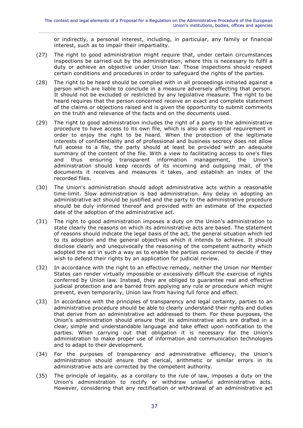or indirectly, a personal interest, including, in particular, any family or financial interest, such as to impair their impartiality.

- (27) The right to good administration might require that, under certain circumstances inspections be carried out by the administration, where this is necessary to fulfil a duty or achieve an objective under Union law. Those inspections should respect certain conditions and procedures in order to safeguard the rights of the parties.
- (28) The right to be heard should be complied with in all proceedings initiated against a person which are liable to conclude in a measure adversely affecting that person. It should not be excluded or restricted by any legislative measure. The right to be heard requires that the person concerned receive an exact and complete statement of the claims or objections raised and is given the opportunity to submit comments on the truth and relevance of the facts and on the documents used.
- (29) The right to good administration includes the right of a party to the administrative procedure to have access to its own file, which is also an essential requirement in order to enjoy the right to be heard. When the protection of the legitimate interests of confidentiality and of professional and business secrecy does not allow full access to a file, the party should at least be provided with an adequate summary of the content of the file. With a view to facilitating access to one's files and thus ensuring transparent information management, the Union's and thus ensuring transparent information management, administration should keep records of its incoming and outgoing mail, of the documents it receives and measures it takes, and establish an index of the recorded files.
- (30) The Union's administration should adopt administrative acts within a reasonable time-limit. Slow administration is bad administration. Any delay in adopting an administrative act should be justified and the party to the administrative procedure should be duly informed thereof and provided with an estimate of the expected date of the adoption of the administrative act.
- (31) The right to good administration imposes a duty on the Union's administration to state clearly the reasons on which its administrative acts are based. The statement of reasons should indicate the legal basis of the act, the general situation which led to its adoption and the general objectives which it intends to achieve. It should disclose clearly and unequivocally the reasoning of the competent authority which adopted the act in such a way as to enable the parties concerned to decide if they wish to defend their rights by an application for judicial review.
- (32) In accordance with the right to an effective remedy, neither the Union nor Member States can render virtually impossible or excessively difficult the exercise of rights conferred by Union law. Instead, they are obliged to guarantee real and effective judicial protection and are barred from applying any rule or procedure which might prevent, even temporarily, Union law from having full force and effect.
- (33) In accordance with the principles of transparency and legal certainty, parties to an administrative procedure should be able to clearly understand their rights and duties that derive from an administrative act addressed to them. For these purposes, the Union's administration should ensure that its administrative acts are drafted in a clear, simple and understandable language and take effect upon notification to the parties. When carrying out that obligation it is necessary for the Union's administration to make proper use of information and communication technologies and to adapt to their development.
- (34) For the purposes of transparency and administrative efficiency, the Union's administration should ensure that clerical, arithmetic or similar errors in its administrative acts are corrected by the competent authority.
- (35) The principle of legality, as a corollary to the rule of law, imposes a duty on the Union's administration to rectify or withdraw unlawful administrative acts. However, considering that any rectification or withdrawal of an administrative act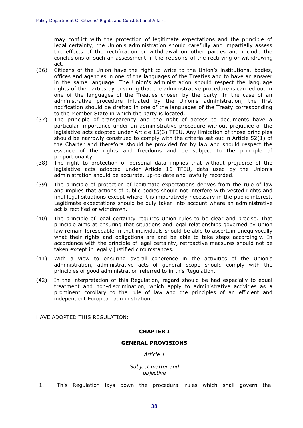may conflict with the protection of legitimate expectations and the principle of legal certainty, the Union's administration should carefully and impartially assess the effects of the rectification or withdrawal on other parties and include the conclusions of such an assessment in the reasons of the rectifying or withdrawing act.

(36) Citizens of the Union have the right to write to the Union's institutions, bodies, offices and agencies in one of the languages of the Treaties and to have an answer in the same language. The Union's administration should respect the language rights of the parties by ensuring that the administrative procedure is carried out in one of the languages of the Treaties chosen by the party. In the case of an administrative procedure initiated by the Union's administration, the first notification should be drafted in one of the languages of the Treaty corresponding to the Member State in which the party is located.

**\_\_\_\_\_\_\_\_\_\_\_\_\_\_\_\_\_\_\_\_\_\_\_\_\_\_\_\_\_\_\_\_\_\_\_\_\_\_\_\_\_\_\_\_\_\_\_\_\_\_\_\_\_\_\_\_\_\_\_\_\_\_\_\_\_\_\_\_\_\_\_\_\_\_\_\_\_\_\_\_\_\_\_\_\_\_\_\_\_\_\_\_**

- (37) The principle of transparency and the right of access to documents have a particular importance under an administrative procedure without prejudice of the legislative acts adopted under Article 15(3) TFEU. Any limitation of those principles should be narrowly construed to comply with the criteria set out in Article 52(1) of the Charter and therefore should be provided for by law and should respect the essence of the rights and freedoms and be subject to the principle of proportionality.
- (38) The right to protection of personal data implies that without prejudice of the legislative acts adopted under Article 16 TFEU, data used by the Union's administration should be accurate, up-to-date and lawfully recorded.
- (39) The principle of protection of legitimate expectations derives from the rule of law and implies that actions of public bodies should not interfere with vested rights and final legal situations except where it is imperatively necessary in the public interest. Legitimate expectations should be duly taken into account where an administrative act is rectified or withdrawn.
- (40) The principle of legal certainty requires Union rules to be clear and precise. That principle aims at ensuring that situations and legal relationships governed by Union law remain foreseeable in that individuals should be able to ascertain unequivocally what their rights and obligations are and be able to take steps accordingly. In accordance with the principle of legal certainty, retroactive measures should not be taken except in legally justified circumstances.
- (41) With a view to ensuring overall coherence in the activities of the Union's administration, administrative acts of general scope should comply with the principles of good administration referred to in this Regulation.
- (42) In the interpretation of this Regulation, regard should be had especially to equal treatment and non-discrimination, which apply to administrative activities as a prominent corollary to the rule of law and the principles of an efficient and independent European administration,

HAVE ADOPTED THIS REGULATION:

#### **CHAPTER I**

#### **GENERAL PROVISIONS**

*Article 1*

*Subject matter and objective*

1. This Regulation lays down the procedural rules which shall govern the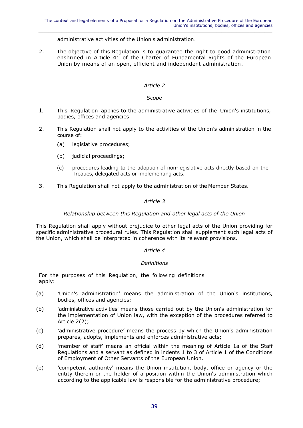#### administrative activities of the Union's administration.

2. The objective of this Regulation is to guarantee the right to good administration enshrined in Article 41 of the Charter of Fundamental Rights of the European Union by means of an open, efficient and independent administration.

#### *Article 2*

#### *Scope*

- 1. This Regulation applies to the administrative activities of the Union's institutions, bodies, offices and agencies.
- 2. This Regulation shall not apply to the activities of the Union's administration in the course of:
	- (a) legislative procedures;
	- (b) judicial proceedings;
	- (c) procedures leading to the adoption of non-legislative acts directly based on the Treaties, delegated acts or implementing acts.
- 3. This Regulation shall not apply to the administration of the Member States.

#### *Article 3*

#### *Relationship between this Regulation and other legal acts of the Union*

This Regulation shall apply without prejudice to other legal acts of the Union providing for specific administrative procedural rules. This Regulation shall supplement such legal acts of the Union, which shall be interpreted in coherence with its relevant provisions.

#### *Article 4*

#### *Definitions*

For the purposes of this Regulation, the following definitions apply:

- (a) 'Union's administration' means the administration of the Union's institutions, bodies, offices and agencies;
- (b) 'administrative activities' means those carried out by the Union's administration for the implementation of Union law, with the exception of the procedures referred to Article 2(2);
- (c) 'administrative procedure' means the process by which the Union's administration prepares, adopts, implements and enforces administrative acts;
- (d) 'member of staff' means an official within the meaning of Article 1a of the Staff Regulations and a servant as defined in indents 1 to 3 of Article 1 of the Conditions of Employment of Other Servants of the European Union.
- (e) 'competent authority' means the Union institution, body, office or agency or the entity therein or the holder of a position within the Union's administration which according to the applicable law is responsible for the administrative procedure;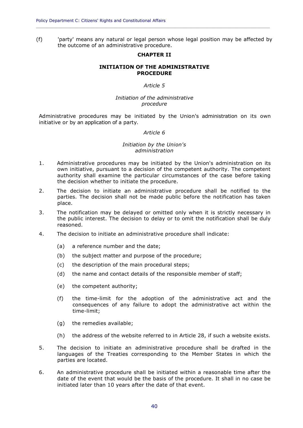(f) 'party' means any natural or legal person whose legal position may be affected by the outcome of an administrative procedure.

**\_\_\_\_\_\_\_\_\_\_\_\_\_\_\_\_\_\_\_\_\_\_\_\_\_\_\_\_\_\_\_\_\_\_\_\_\_\_\_\_\_\_\_\_\_\_\_\_\_\_\_\_\_\_\_\_\_\_\_\_\_\_\_\_\_\_\_\_\_\_\_\_\_\_\_\_\_\_\_\_\_\_\_\_\_\_\_\_\_\_\_\_**

#### **CHAPTER II**

#### **INITIATION OF THE ADMINISTRATIVE PROCEDURE**

#### *Article 5*

#### *Initiation of the administrative procedure*

Administrative procedures may be initiated by the Union's administration on its own initiative or by an application of a party.

#### *Article 6*

#### *Initiation by the Union's administration*

- 1. Administrative procedures may be initiated by the Union's administration on its own initiative, pursuant to a decision of the competent authority. The competent authority shall examine the particular circumstances of the case before taking the decision whether to initiate the procedure.
- 2. The decision to initiate an administrative procedure shall be notified to the parties. The decision shall not be made public before the notification has taken place.
- 3. The notification may be delayed or omitted only when it is strictly necessary in the public interest. The decision to delay or to omit the notification shall be duly reasoned.
- 4. The decision to initiate an administrative procedure shall indicate:
	- (a) a reference number and the date;
	- (b) the subject matter and purpose of the procedure;
	- (c) the description of the main procedural steps;
	- (d) the name and contact details of the responsible member of staff;
	- (e) the competent authority;
	- (f) the time-limit for the adoption of the administrative act and the consequences of any failure to adopt the administrative act within the time-limit;
	- (g) the remedies available;
	- (h) the address of the website referred to in Article 28, if such a website exists.
- 5. The decision to initiate an administrative procedure shall be drafted in the languages of the Treaties corresponding to the Member States in which the parties are located.
- 6. An administrative procedure shall be initiated within a reasonable time after the date of the event that would be the basis of the procedure. It shall in no case be initiated later than 10 years after the date of that event.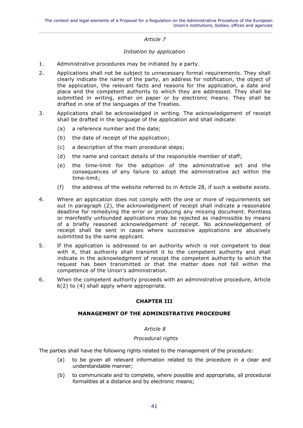#### *Initiation by application*

- 1. Administrative procedures may be initiated by a party.
- 2. Applications shall not be subject to unnecessary formal requirements. They shall clearly indicate the name of the party, an address for notification, the object of the application, the relevant facts and reasons for the application, a date and place and the competent authority to which they are addressed. They shall be submitted in writing, either on paper or by electronic means. They shall be drafted in one of the languages of the Treaties.
- 3. Applications shall be acknowledged in writing. The acknowledgement of receipt shall be drafted in the language of the application and shall indicate:
	- (a) a reference number and the date;
	- (b) the date of receipt of the application;
	- (c) a description of the main procedural steps;
	- (d) the name and contact details of the responsible member of staff;
	- (e) the time-limit for the adoption of the administrative act and the consequences of any failure to adopt the administrative act within the time-limit;
	- (f) the address of the website referred to in Article 28, if such a website exists.
- 4. Where an application does not comply with the one or more of requirements set out in paragraph (2), the acknowledgment of receipt shall indicate a reasonable deadline for remedying the error or producing any missing document. Pointless or manifestly unfounded applications may be rejected as inadmissible by means of a briefly reasoned acknowledgement of receipt. No acknowledgement of receipt shall be sent in cases where successive applications are abusively submitted by the same applicant.
- 5. If the application is addressed to an authority which is not competent to deal with it, that authority shall transmit it to the competent authority and shall indicate in the acknowledgment of receipt the competent authority to which the request has been transmitted or that the matter does not fall within the competence of the Union's administration.
- 6. When the competent authority proceeds with an administrative procedure, Article 6(2) to (4) shall apply where appropriate.

#### **CHAPTER III**

#### **MANAGEMENT OF THE ADMINISTRATIVE PROCEDURE**

#### *Article 8*

#### *Procedural rights*

The parties shall have the following rights related to the management of the procedure:

- (a) to be given all relevant information related to the procedure in a clear and understandable manner;
- (b) to communicate and to complete, where possible and appropriate, all procedural formalities at a distance and by electronic means;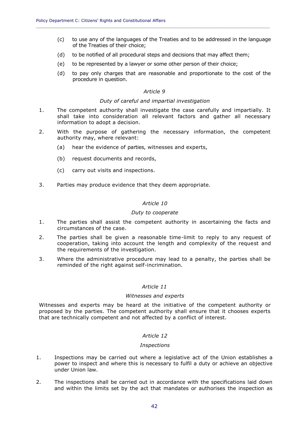- (c) to use any of the languages of the Treaties and to be addressed in the language of the Treaties of their choice;
- (d) to be notified of all procedural steps and decisions that may affect them;

**\_\_\_\_\_\_\_\_\_\_\_\_\_\_\_\_\_\_\_\_\_\_\_\_\_\_\_\_\_\_\_\_\_\_\_\_\_\_\_\_\_\_\_\_\_\_\_\_\_\_\_\_\_\_\_\_\_\_\_\_\_\_\_\_\_\_\_\_\_\_\_\_\_\_\_\_\_\_\_\_\_\_\_\_\_\_\_\_\_\_\_\_**

- (e) to be represented by a lawyer or some other person of their choice;
- (d) to pay only charges that are reasonable and proportionate to the cost of the procedure in question.

#### *Article 9*

#### *Duty of careful and impartial investigation*

- 1. The competent authority shall investigate the case carefully and impartially. It shall take into consideration all relevant factors and gather all necessary information to adopt a decision.
- 2. With the purpose of gathering the necessary information, the competent authority may, where relevant:
	- (a) hear the evidence of parties, witnesses and experts,
	- (b) request documents and records,
	- (c) carry out visits and inspections.
- 3. Parties may produce evidence that they deem appropriate.

#### *Article 10*

#### *Duty to cooperate*

- 1. The parties shall assist the competent authority in ascertaining the facts and circumstances of the case.
- 2. The parties shall be given a reasonable time-limit to reply to any request of cooperation, taking into account the length and complexity of the request and the requirements of the investigation.
- 3. Where the administrative procedure may lead to a penalty, the parties shall be reminded of the right against self-incrimination.

#### *Article 11*

#### *Witnesses and experts*

Witnesses and experts may be heard at the initiative of the competent authority or proposed by the parties. The competent authority shall ensure that it chooses experts that are technically competent and not affected by a conflict of interest.

#### *Article 12*

#### *Inspections*

- 1. Inspections may be carried out where a legislative act of the Union establishes a power to inspect and where this is necessary to fulfil a duty or achieve an objective under Union law.
- 2. The inspections shall be carried out in accordance with the specifications laid down and within the limits set by the act that mandates or authorises the inspection as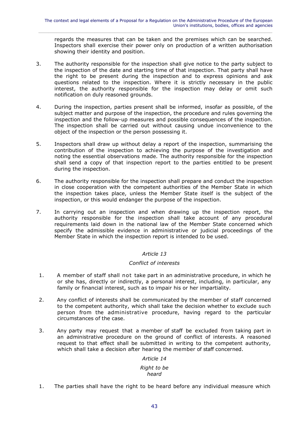regards the measures that can be taken and the premises which can be searched. Inspectors shall exercise their power only on production of a written authorisation showing their identity and position.

- 3. The authority responsible for the inspection shall give notice to the party subject to the inspection of the date and starting time of that inspection. That party shall have the right to be present during the inspection and to express opinions and ask questions related to the inspection. Where it is strictly necessary in the public interest, the authority responsible for the inspection may delay or omit such notification on duly reasoned grounds.
- 4. During the inspection, parties present shall be informed, insofar as possible, of the subject matter and purpose of the inspection, the procedure and rules governing the inspection and the follow-up measures and possible consequences of the inspection. The inspection shall be carried out without causing undue inconvenience to the object of the inspection or the person possessing it.
- 5. Inspectors shall draw up without delay a report of the inspection, summarising the contribution of the inspection to achieving the purpose of the investigation and noting the essential observations made. The authority responsible for the inspection shall send a copy of that inspection report to the parties entitled to be present during the inspection.
- 6. The authority responsible for the inspection shall prepare and conduct the inspection in close cooperation with the competent authorities of the Member State in which the inspection takes place, unless the Member State itself is the subject of the inspection, or this would endanger the purpose of the inspection.
- 7. In carrying out an inspection and when drawing up the inspection report, the authority responsible for the inspection shall take account of any procedural requirements laid down in the national law of the Member State concerned which specify the admissible evidence in administrative or judicial proceedings of the Member State in which the inspection report is intended to be used.

#### *Article 13*

#### *Conflict of interests*

- 1. A member of staff shall not take part in an administrative procedure, in which he or she has, directly or indirectly, a personal interest, including, in particular, any family or financial interest, such as to impair his or her impartiality.
- 2. Any conflict of interests shall be communicated by the member of staff concerned to the competent authority, which shall take the decision whether to exclude such person from the administrative procedure, having regard to the particular circumstances of the case.
- 3. Any party may request that a member of staff be excluded from taking part in an administrative procedure on the ground of conflict of interests. A reasoned request to that effect shall be submitted in writing to the competent authority, which shall take a decision after hearing the member of staff concerned.

#### *Article 14*

#### *Right to be heard*

1. The parties shall have the right to be heard before any individual measure which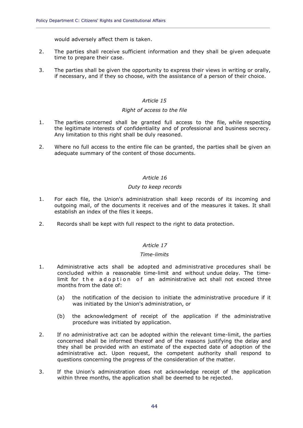would adversely affect them is taken.

2. The parties shall receive sufficient information and they shall be given adequate time to prepare their case.

**\_\_\_\_\_\_\_\_\_\_\_\_\_\_\_\_\_\_\_\_\_\_\_\_\_\_\_\_\_\_\_\_\_\_\_\_\_\_\_\_\_\_\_\_\_\_\_\_\_\_\_\_\_\_\_\_\_\_\_\_\_\_\_\_\_\_\_\_\_\_\_\_\_\_\_\_\_\_\_\_\_\_\_\_\_\_\_\_\_\_\_\_**

3. The parties shall be given the opportunity to express their views in writing or orally, if necessary, and if they so choose, with the assistance of a person of their choice.

#### *Article 15*

#### *Right of access to the file*

- 1. The parties concerned shall be granted full access to the file, while respecting the legitimate interests of confidentiality and of professional and business secrecy. Any limitation to this right shall be duly reasoned.
- 2. Where no full access to the entire file can be granted, the parties shall be given an adequate summary of the content of those documents.

#### *Article 16*

#### *Duty to keep records*

- 1. For each file, the Union's administration shall keep records of its incoming and outgoing mail, of the documents it receives and of the measures it takes. It shall establish an index of the files it keeps.
- 2. Records shall be kept with full respect to the right to data protection.

#### *Article 17*

#### *Time-limits*

- 1. Administrative acts shall be adopted and administrative procedures shall be concluded within a reasonable time-limit and without undue delay. The timelimit for the adoption of an administrative act shall not exceed three months from the date of:
	- (a) the notification of the decision to initiate the administrative procedure if it was initiated by the Union's administration, or
	- (b) the acknowledgment of receipt of the application if the administrative procedure was initiated by application.
- 2. If no administrative act can be adopted within the relevant time-limit, the parties concerned shall be informed thereof and of the reasons justifying the delay and they shall be provided with an estimate of the expected date of adoption of the administrative act. Upon request, the competent authority shall respond to questions concerning the progress of the consideration of the matter.
- 3. If the Union's administration does not acknowledge receipt of the application within three months, the application shall be deemed to be rejected.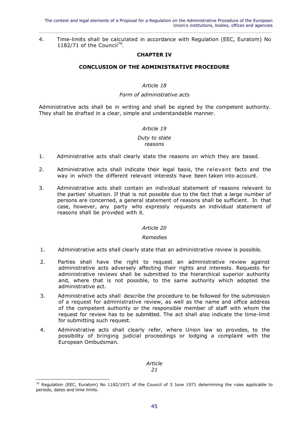4. Time-limits shall be calculated in accordance with Regulation (EEC, Euratom) No 1182/71 of the Council<sup>79</sup>.

#### **CHAPTER IV**

#### **CONCLUSION OF THE ADMINISTRATIVE PROCEDURE**

#### *Article 18*

#### *Form of administrative acts*

Administrative acts shall be in writing and shall be signed by the competent authority. They shall be drafted in a clear, simple and understandable manner.

#### *Article 19*

#### *Duty to state reasons*

- 1. Administrative acts shall clearly state the reasons on which they are based.
- 2. Administrative acts shall indicate their legal basis, the relevant facts and the way in which the different relevant interests have been taken into account.
- 3. Administrative acts shall contain an individual statement of reasons relevant to the parties' situation. If that is not possible due to the fact that a large number of persons are concerned, a general statement of reasons shall be sufficient. In that case, however, any party who expressly requests an individual statement of reasons shall be provided with it.

#### *Article 20*

#### *Remedies*

- 1. Administrative acts shall clearly state that an administrative review is possible.
- 2. Parties shall have the right to request an administrative review against administrative acts adversely affecting their rights and interests. Requests for administrative reviews shall be submitted to the hierarchical superior authority and, where that is not possible, to the same authority which adopted the administrative act.
- 3. Administrative acts shall describe the procedure to be followed for the submission of a request for administrative review, as well as the name and office address of the competent authority or the responsible member of staff with whom the request for review has to be submitted. The act shall also indicate the time-limit for submitting such request.
- 4. Administrative acts shall clearly refer, where Union law so provides, to the possibility of bringing judicial proceedings or lodging a complaint with the European Ombudsman.

*Article 21*

<sup>&</sup>lt;sup>79</sup> Regulation (EEC, Euratom) No 1182/1971 of the Council of 3 June 1971 determining the rules applicable to periods, dates and time limits.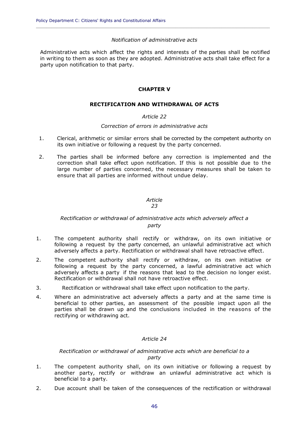#### *Notification of administrative acts*

**\_\_\_\_\_\_\_\_\_\_\_\_\_\_\_\_\_\_\_\_\_\_\_\_\_\_\_\_\_\_\_\_\_\_\_\_\_\_\_\_\_\_\_\_\_\_\_\_\_\_\_\_\_\_\_\_\_\_\_\_\_\_\_\_\_\_\_\_\_\_\_\_\_\_\_\_\_\_\_\_\_\_\_\_\_\_\_\_\_\_\_\_**

Administrative acts which affect the rights and interests of the parties shall be notified in writing to them as soon as they are adopted. Administrative acts shall take effect for a party upon notification to that party.

#### **CHAPTER V**

#### **RECTIFICATION AND WITHDRAWAL OF ACTS**

#### *Article 22*

#### *Correction of errors in administrative acts*

- 1. Clerical, arithmetic or similar errors shall be corrected by the competent authority on its own initiative or following a request by the party concerned.
- 2. The parties shall be informed before any correction is implemented and the correction shall take effect upon notification. If this is not possible due to the large number of parties concerned, the necessary measures shall be taken to ensure that all parties are informed without undue delay.

## *Article*

#### *23*

#### *Rectification or withdrawal of administrative acts which adversely affect a party*

- 1. The competent authority shall rectify or withdraw, on its own initiative or following a request by the party concerned, an unlawful administrative act which adversely affects a party. Rectification or withdrawal shall have retroactive effect.
- 2. The competent authority shall rectify or withdraw, on its own initiative or following a request by the party concerned, a lawful administrative act which adversely affects a party if the reasons that lead to the decision no longer exist. Rectification or withdrawal shall not have retroactive effect.
- 3. Rectification or withdrawal shall take effect upon notification to the party.
- 4. Where an administrative act adversely affects a party and at the same time is beneficial to other parties, an assessment of the possible impact upon all the parties shall be drawn up and the conclusions included in the reasons of the rectifying or withdrawing act.

#### *Article 24*

#### *Rectification or withdrawal of administrative acts which are beneficial to a party*

- 1. The competent authority shall, on its own initiative or following a request by another party, rectify or withdraw an unlawful administrative act which is beneficial to a party.
- 2. Due account shall be taken of the consequences of the rectification or withdrawal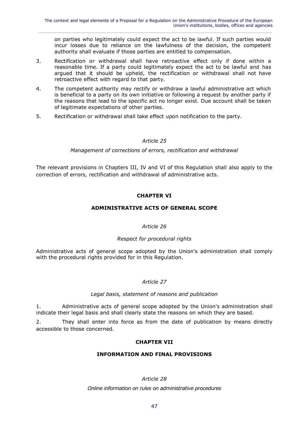on parties who legitimately could expect the act to be lawful. If such parties would incur losses due to reliance on the lawfulness of the decision, the competent authority shall evaluate if those parties are entitled to compensation.

- 3. Rectification or withdrawal shall have retroactive effect only if done within a reasonable time. If a party could legitimately expect the act to be lawful and has argued that it should be upheld, the rectification or withdrawal shall not have retroactive effect with regard to that party.
- 4. The competent authority may rectify or withdraw a lawful administrative act which is beneficial to a party on its own initiative or following a request by another party if the reasons that lead to the specific act no longer exist. Due account shall be taken of legitimate expectations of other parties.
- 5. Rectification or withdrawal shall take effect upon notification to the party.

#### *Article 25*

#### *Management of corrections of errors, rectification and withdrawal*

The relevant provisions in Chapters III, IV and VI of this Regulation shall also apply to the correction of errors, rectification and withdrawal of administrative acts.

#### **CHAPTER VI**

#### **ADMINISTRATIVE ACTS OF GENERAL SCOPE**

#### *Article 26*

#### *Respect for procedural rights*

Administrative acts of general scope adopted by the Union's administration shall comply with the procedural rights provided for in this Regulation.

#### *Article 27*

#### *Legal basis, statement of reasons and publication*

1. Administrative acts of general scope adopted by the Union's administration shall indicate their legal basis and shall clearly state the reasons on which they are based.

2. They shall enter into force as from the date of publication by means directly accessible to those concerned.

#### **CHAPTER VII**

#### **INFORMATION AND FINAL PROVISIONS**

#### *Article 28*

*Online information on rules on administrative procedures*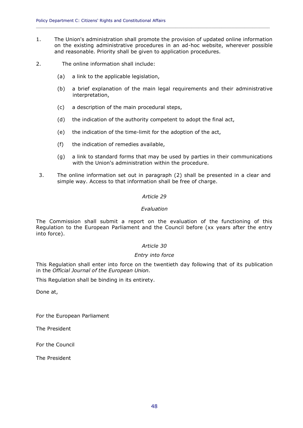1. The Union's administration shall promote the provision of updated online information on the existing administrative procedures in an ad-hoc website, wherever possible and reasonable. Priority shall be given to application procedures.

**\_\_\_\_\_\_\_\_\_\_\_\_\_\_\_\_\_\_\_\_\_\_\_\_\_\_\_\_\_\_\_\_\_\_\_\_\_\_\_\_\_\_\_\_\_\_\_\_\_\_\_\_\_\_\_\_\_\_\_\_\_\_\_\_\_\_\_\_\_\_\_\_\_\_\_\_\_\_\_\_\_\_\_\_\_\_\_\_\_\_\_\_**

- 2. The online information shall include:
	- (a) a link to the applicable legislation,
	- (b) a brief explanation of the main legal requirements and their administrative interpretation,
	- (c) a description of the main procedural steps,
	- (d) the indication of the authority competent to adopt the final act,
	- (e) the indication of the time-limit for the adoption of the act,
	- (f) the indication of remedies available,
	- (g) a link to standard forms that may be used by parties in their communications with the Union's administration within the procedure.
- 3. The online information set out in paragraph (2) shall be presented in a clear and simple way. Access to that information shall be free of charge.

#### *Article 29*

#### *Evaluation*

The Commission shall submit a report on the evaluation of the functioning of this Regulation to the European Parliament and the Council before (xx years after the entry into force).

#### *Article 30*

#### *Entry into force*

This Regulation shall enter into force on the twentieth day following that of its publication in the *Official Journal of the European Union*.

This Regulation shall be binding in its entirety.

Done at,

For the European Parliament

The President

For the Council

The President